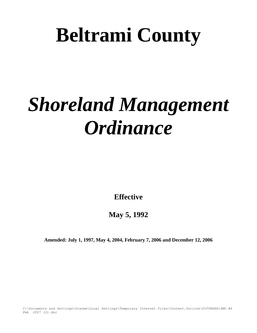# **Beltrami County**

# *Shoreland Management Ordinance*

**Effective**

**May 5, 1992**

**Amended: July 1, 1997, May 4, 2004, February 7, 2006 and December 12, 2006**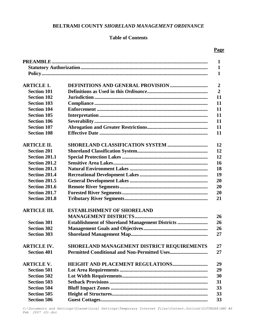# **BELTRAMI COUNTY** *SHORELAND MANAGEMENT ORDINANCE*

# **Table of Contents**

## **Page**

|                      |                                                         | 1              |
|----------------------|---------------------------------------------------------|----------------|
|                      |                                                         | 1              |
|                      |                                                         | $\mathbf{1}$   |
|                      |                                                         |                |
| <b>ARTICLE 1.</b>    | <b>DEFINITIONS AND GENERAL PROVISION </b>               | $\overline{2}$ |
| <b>Section 101</b>   |                                                         | $\overline{2}$ |
| <b>Section 102</b>   |                                                         | 11             |
| <b>Section 103</b>   |                                                         | 11             |
| <b>Section 104</b>   |                                                         | 11             |
| <b>Section 105</b>   |                                                         | 11             |
| <b>Section 106</b>   |                                                         | 11             |
| <b>Section 107</b>   |                                                         | 11             |
| <b>Section 108</b>   |                                                         | 11             |
| <b>ARTICLE II.</b>   |                                                         | 12             |
| <b>Section 201</b>   |                                                         | 12             |
| <b>Section 201.1</b> |                                                         | 12             |
| <b>Section 201.2</b> |                                                         | 16             |
| <b>Section 201.3</b> |                                                         | 18             |
| <b>Section 201.4</b> |                                                         | 19             |
| <b>Section 201.5</b> |                                                         | 20             |
| <b>Section 201.6</b> |                                                         | 20             |
| <b>Section 201.7</b> |                                                         | 20             |
| <b>Section 201.8</b> |                                                         | 21             |
| <b>ARTICLE III.</b>  | <b>ESTABLISHMENT OF SHORELAND</b>                       |                |
|                      |                                                         | 26             |
| <b>Section 301</b>   | <b>Establishment of Shoreland Management Districts </b> | 26             |
| <b>Section 302</b>   |                                                         | 26             |
| <b>Section 303</b>   |                                                         | 27             |
| <b>ARTICLE IV.</b>   | SHORELAND MANAGEMENT DISTRICT REQUIREMENTS              | $27\,$         |
| <b>Section 401</b>   |                                                         | 27             |
| <b>ARTICLE V.</b>    |                                                         | 29             |
| <b>Section 501</b>   |                                                         | 29             |
| <b>Section 502</b>   |                                                         | 30             |
| <b>Section 503</b>   |                                                         | 31             |
| <b>Section 504</b>   |                                                         | 33             |
| <b>Section 505</b>   |                                                         | 33             |
| <b>Section 506</b>   |                                                         | 33             |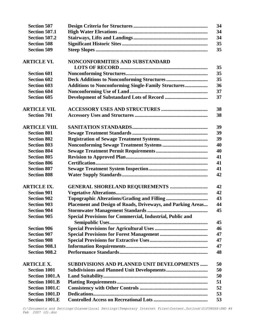| 34<br><b>Section 507.1</b><br>34<br><b>Section 507.2</b><br>35<br><b>Section 508</b><br>35<br><b>Section 509</b><br>NONCONFORMITIES AND SUBSTANDARD<br>35<br><b>Section 601</b><br>35<br>35<br><b>Section 602</b><br>36<br><b>Section 603</b><br><b>Additions to Nonconforming Single-Family Structures</b><br><b>Section 604</b><br>37<br>37<br><b>Section 605</b><br>38<br>38<br><b>Section 701</b><br>39<br>39<br><b>Section 801</b><br>39<br><b>Section 802</b><br>40<br><b>Section 803</b><br>40<br><b>Section 804</b><br><b>Section 805</b><br>41<br><b>Section 806</b><br>41<br><b>Section 807</b><br>41<br><b>Section 808</b><br>42<br>42<br>42<br><b>Section 901</b><br>43<br><b>Section 902</b><br><b>Section 903</b><br>Placement and Design of Roads, Driveways, and Parking Areas<br>44<br><b>Stormwater Management Standards</b><br>45<br><b>Section 904</b><br><b>Special Provisions for Commercial, Industrial, Public and</b><br><b>Section 905</b><br>45<br>46<br><b>Section 906</b><br>47<br><b>Section 907</b><br><b>Section 908</b><br>47<br><b>Section 908.1</b><br>47 | <b>Section 507</b>   | 34 |
|----------------------------------------------------------------------------------------------------------------------------------------------------------------------------------------------------------------------------------------------------------------------------------------------------------------------------------------------------------------------------------------------------------------------------------------------------------------------------------------------------------------------------------------------------------------------------------------------------------------------------------------------------------------------------------------------------------------------------------------------------------------------------------------------------------------------------------------------------------------------------------------------------------------------------------------------------------------------------------------------------------------------------------------------------------------------------------------------|----------------------|----|
|                                                                                                                                                                                                                                                                                                                                                                                                                                                                                                                                                                                                                                                                                                                                                                                                                                                                                                                                                                                                                                                                                              |                      |    |
|                                                                                                                                                                                                                                                                                                                                                                                                                                                                                                                                                                                                                                                                                                                                                                                                                                                                                                                                                                                                                                                                                              |                      |    |
|                                                                                                                                                                                                                                                                                                                                                                                                                                                                                                                                                                                                                                                                                                                                                                                                                                                                                                                                                                                                                                                                                              |                      |    |
|                                                                                                                                                                                                                                                                                                                                                                                                                                                                                                                                                                                                                                                                                                                                                                                                                                                                                                                                                                                                                                                                                              |                      |    |
|                                                                                                                                                                                                                                                                                                                                                                                                                                                                                                                                                                                                                                                                                                                                                                                                                                                                                                                                                                                                                                                                                              | <b>ARTICLE VI.</b>   |    |
|                                                                                                                                                                                                                                                                                                                                                                                                                                                                                                                                                                                                                                                                                                                                                                                                                                                                                                                                                                                                                                                                                              |                      |    |
|                                                                                                                                                                                                                                                                                                                                                                                                                                                                                                                                                                                                                                                                                                                                                                                                                                                                                                                                                                                                                                                                                              |                      |    |
|                                                                                                                                                                                                                                                                                                                                                                                                                                                                                                                                                                                                                                                                                                                                                                                                                                                                                                                                                                                                                                                                                              |                      |    |
|                                                                                                                                                                                                                                                                                                                                                                                                                                                                                                                                                                                                                                                                                                                                                                                                                                                                                                                                                                                                                                                                                              |                      |    |
|                                                                                                                                                                                                                                                                                                                                                                                                                                                                                                                                                                                                                                                                                                                                                                                                                                                                                                                                                                                                                                                                                              |                      |    |
|                                                                                                                                                                                                                                                                                                                                                                                                                                                                                                                                                                                                                                                                                                                                                                                                                                                                                                                                                                                                                                                                                              |                      |    |
|                                                                                                                                                                                                                                                                                                                                                                                                                                                                                                                                                                                                                                                                                                                                                                                                                                                                                                                                                                                                                                                                                              | <b>ARTICLE VII.</b>  |    |
|                                                                                                                                                                                                                                                                                                                                                                                                                                                                                                                                                                                                                                                                                                                                                                                                                                                                                                                                                                                                                                                                                              |                      |    |
|                                                                                                                                                                                                                                                                                                                                                                                                                                                                                                                                                                                                                                                                                                                                                                                                                                                                                                                                                                                                                                                                                              | <b>ARTICLE VIII.</b> |    |
|                                                                                                                                                                                                                                                                                                                                                                                                                                                                                                                                                                                                                                                                                                                                                                                                                                                                                                                                                                                                                                                                                              |                      |    |
|                                                                                                                                                                                                                                                                                                                                                                                                                                                                                                                                                                                                                                                                                                                                                                                                                                                                                                                                                                                                                                                                                              |                      |    |
|                                                                                                                                                                                                                                                                                                                                                                                                                                                                                                                                                                                                                                                                                                                                                                                                                                                                                                                                                                                                                                                                                              |                      |    |
|                                                                                                                                                                                                                                                                                                                                                                                                                                                                                                                                                                                                                                                                                                                                                                                                                                                                                                                                                                                                                                                                                              |                      |    |
|                                                                                                                                                                                                                                                                                                                                                                                                                                                                                                                                                                                                                                                                                                                                                                                                                                                                                                                                                                                                                                                                                              |                      |    |
|                                                                                                                                                                                                                                                                                                                                                                                                                                                                                                                                                                                                                                                                                                                                                                                                                                                                                                                                                                                                                                                                                              |                      |    |
|                                                                                                                                                                                                                                                                                                                                                                                                                                                                                                                                                                                                                                                                                                                                                                                                                                                                                                                                                                                                                                                                                              |                      |    |
|                                                                                                                                                                                                                                                                                                                                                                                                                                                                                                                                                                                                                                                                                                                                                                                                                                                                                                                                                                                                                                                                                              |                      |    |
|                                                                                                                                                                                                                                                                                                                                                                                                                                                                                                                                                                                                                                                                                                                                                                                                                                                                                                                                                                                                                                                                                              | <b>ARTICLE IX.</b>   |    |
|                                                                                                                                                                                                                                                                                                                                                                                                                                                                                                                                                                                                                                                                                                                                                                                                                                                                                                                                                                                                                                                                                              |                      |    |
|                                                                                                                                                                                                                                                                                                                                                                                                                                                                                                                                                                                                                                                                                                                                                                                                                                                                                                                                                                                                                                                                                              |                      |    |
|                                                                                                                                                                                                                                                                                                                                                                                                                                                                                                                                                                                                                                                                                                                                                                                                                                                                                                                                                                                                                                                                                              |                      |    |
|                                                                                                                                                                                                                                                                                                                                                                                                                                                                                                                                                                                                                                                                                                                                                                                                                                                                                                                                                                                                                                                                                              |                      |    |
|                                                                                                                                                                                                                                                                                                                                                                                                                                                                                                                                                                                                                                                                                                                                                                                                                                                                                                                                                                                                                                                                                              |                      |    |
|                                                                                                                                                                                                                                                                                                                                                                                                                                                                                                                                                                                                                                                                                                                                                                                                                                                                                                                                                                                                                                                                                              |                      |    |
|                                                                                                                                                                                                                                                                                                                                                                                                                                                                                                                                                                                                                                                                                                                                                                                                                                                                                                                                                                                                                                                                                              |                      |    |
|                                                                                                                                                                                                                                                                                                                                                                                                                                                                                                                                                                                                                                                                                                                                                                                                                                                                                                                                                                                                                                                                                              |                      |    |
|                                                                                                                                                                                                                                                                                                                                                                                                                                                                                                                                                                                                                                                                                                                                                                                                                                                                                                                                                                                                                                                                                              |                      |    |
|                                                                                                                                                                                                                                                                                                                                                                                                                                                                                                                                                                                                                                                                                                                                                                                                                                                                                                                                                                                                                                                                                              | <b>Section 908.2</b> | 48 |
| SUBDIVISIONS AND PLANNED UNIT DEVELOPMENTS<br>50                                                                                                                                                                                                                                                                                                                                                                                                                                                                                                                                                                                                                                                                                                                                                                                                                                                                                                                                                                                                                                             | <b>ARTICLE X.</b>    |    |
| <b>Section 1001</b><br>50                                                                                                                                                                                                                                                                                                                                                                                                                                                                                                                                                                                                                                                                                                                                                                                                                                                                                                                                                                                                                                                                    |                      |    |
| <b>Section 1001.A</b><br>50                                                                                                                                                                                                                                                                                                                                                                                                                                                                                                                                                                                                                                                                                                                                                                                                                                                                                                                                                                                                                                                                  |                      |    |
| <b>Section 1001.B</b><br>51                                                                                                                                                                                                                                                                                                                                                                                                                                                                                                                                                                                                                                                                                                                                                                                                                                                                                                                                                                                                                                                                  |                      |    |
| <b>Section 1001.C</b><br>52                                                                                                                                                                                                                                                                                                                                                                                                                                                                                                                                                                                                                                                                                                                                                                                                                                                                                                                                                                                                                                                                  |                      |    |
| <b>Section 1001.D</b><br>53                                                                                                                                                                                                                                                                                                                                                                                                                                                                                                                                                                                                                                                                                                                                                                                                                                                                                                                                                                                                                                                                  |                      |    |
| <b>Section 1001.E</b><br>53                                                                                                                                                                                                                                                                                                                                                                                                                                                                                                                                                                                                                                                                                                                                                                                                                                                                                                                                                                                                                                                                  |                      |    |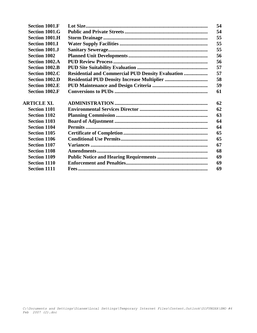| <b>Section 1001.F</b> |                                                           | 54 |
|-----------------------|-----------------------------------------------------------|----|
| <b>Section 1001.G</b> |                                                           | 54 |
| <b>Section 1001.H</b> |                                                           | 55 |
| <b>Section 1001.I</b> |                                                           | 55 |
| Section 1001.J        |                                                           | 55 |
| <b>Section 1002</b>   |                                                           | 56 |
| <b>Section 1002.A</b> |                                                           | 56 |
| <b>Section 1002.B</b> |                                                           | 57 |
| Section 1002.C        | <b>Residential and Commercial PUD Density Evaluation </b> | 57 |
| Section 1002.D        | <b>Residential PUD Density Increase Multiplier </b>       | 58 |
| <b>Section 1002.E</b> |                                                           | 59 |
| <b>Section 1002.F</b> |                                                           | 61 |
|                       |                                                           |    |
| <b>ARTICLE XI.</b>    |                                                           | 62 |
| <b>Section 1101</b>   |                                                           | 62 |
| <b>Section 1102</b>   |                                                           | 63 |
| <b>Section 1103</b>   |                                                           | 64 |
| <b>Section 1104</b>   |                                                           | 64 |
| <b>Section 1105</b>   |                                                           | 65 |
| <b>Section 1106</b>   |                                                           | 65 |
| <b>Section 1107</b>   |                                                           | 67 |
| <b>Section 1108</b>   |                                                           | 68 |
| <b>Section 1109</b>   |                                                           | 69 |
| <b>Section 1110</b>   |                                                           | 69 |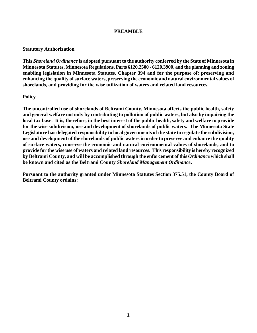#### **PREAMBLE**

#### **Statutory Authorization**

**This** *Shoreland Ordinance* **is adopted pursuant to the authority conferred by the State of Minnesota in Minnesota Statutes, Minnesota Regulations, Parts 6120.2500 - 6120.3900, and the planning and zoning enabling legislation in Minnesota Statutes, Chapter 394 and for the purpose of: preserving and enhancing the quality of surface waters, preserving the economic and natural environmental values of shorelands, and providing for the wise utilization of waters and related land resources.**

#### **Policy**

**The uncontrolled use of shorelands of Beltrami County, Minnesota affects the public health, safety and general welfare not only by contributing to pollution of public waters, but also by impairing the local tax base. It is, therefore, in the best interest of the public health, safety and welfare to provide for the wise subdivision, use and development of shorelands of public waters. The Minnesota State Legislature has delegated responsibility to local governments of the state to regulate the subdivision, use and development of the shorelands of public waters in order to preserve and enhance the quality of surface waters, conserve the economic and natural environmental values of shorelands, and to provide for the wise use of waters and related land resources. This responsibility is hereby recognized by Beltrami County, and will be accomplished through the enforcement of this** *Ordinance* **which shall be known and cited as the Beltrami County** *Shoreland Management Ordinance***.**

**Pursuant to the authority granted under Minnesota Statutes Section 375.51, the County Board of Beltrami County ordains:**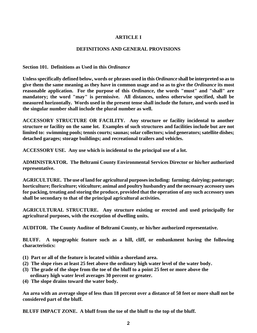# **ARTICLE I**

#### **DEFINITIONS AND GENERAL PROVISIONS**

**Section 101. Definitions as Used in this** *Ordinance*

**Unless specifically defined below, words or phrases used in this** *Ordinance* **shall be interpreted so as to give them the same meaning as they have in common usage and so as to give the** *Ordinance* **its most reasonable application. For the purpose of this** *Ordinance***, the words "must" and "shall" are mandatory; the word "may" is permissive. All distances, unless otherwise specified, shall be measured horizontally. Words used in the present tense shall include the future, and words used in the singular number shall include the plural number as well.**

**ACCESSORY STRUCTURE OR FACILITY. Any structure or facility incidental to another structure or facility on the same lot. Examples of such structures and facilities include but are not limited to: swimming pools; tennis courts; saunas; solar collectors; wind generators; satellite dishes; detached garages; storage buildings; and recreational trailers and vehicles.**

**ACCESSORY USE. Any use which is incidental to the principal use of a lot.**

**ADMINISTRATOR. The Beltrami County Environmental Services Director or his/her authorized representative.**

**AGRICULTURE. The use of land for agricultural purposes including: farming; dairying; pasturage; horticulture; floriculture; viticulture; animal and poultry husbandry and the necessary accessory uses for packing, treating and storing the produce, provided that the operation of any such accessory uses shall be secondary to that of the principal agricultural activities.**

**AGRICULTURAL STRUCTURE. Any structure existing or erected and used principally for agricultural purposes, with the exception of dwelling units.**

**AUDITOR. The County Auditor of Beltrami County, or his/her authorized representative.**

**BLUFF. A topographic feature such as a hill, cliff, or embankment having the following characteristics:**

- **(1) Part or all of the feature is located within a shoreland area.**
- **(2) The slope rises at least 25 feet above the ordinary high water level of the water body.**
- **(3) The grade of the slope from the toe of the bluff to a point 25 feet or more above the ordinary high water level averages 30 percent or greater.**
- **(4) The slope drains toward the water body.**

**An area with an average slope of less than 18 percent over a distance of 50 feet or more shall not be considered part of the bluff.**

**BLUFF IMPACT ZONE. A bluff from the toe of the bluff to the top of the bluff.**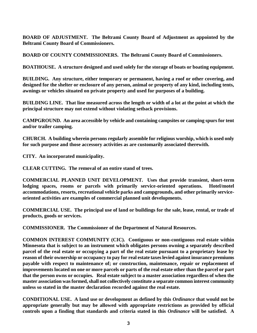**BOARD OF ADJUSTMENT. The Beltrami County Board of Adjustment as appointed by the Beltrami County Board of Commissioners.**

**BOARD OF COUNTY COMMISSIONERS. The Beltrami County Board of Commissioners.**

**BOATHOUSE. A structure designed and used solely for the storage of boats or boating equipment.**

**BUILDING. Any structure, either temporary or permanent, having a roof or other covering, and designed for the shelter or enclosure of any person, animal or property of any kind, including tents, awnings or vehicles situated on private property and used for purposes of a building.**

**BUILDING LINE. That line measured across the length or width of a lot at the point at which the principal structure may not extend without violating setback provisions.**

**CAMPGROUND. An area accessible by vehicle and containing campsites or camping spurs for tent and/or trailer camping.**

**CHURCH. A building wherein persons regularly assemble for religious worship, which is used only for such purpose and those accessory activities as are customarily associated therewith.**

**CITY. An incorporated municipality.**

**CLEAR CUTTING. The removal of an entire stand of trees.**

**COMMERCIAL PLANNED UNIT DEVELOPMENT. Uses that provide transient, short-term lodging spaces, rooms or parcels with primarily service-oriented operations. Hotel/motel accommodations, resorts, recreational vehicle parks and campgrounds, and other primarily serviceoriented activities are examples of commercial planned unit developments.**

**COMMERCIAL USE. The principal use of land or buildings for the sale, lease, rental, or trade of products, goods or services.**

**COMMISSIONER. The Commissioner of the Department of Natural Resources.**

**COMMON INTEREST COMMUNITY (CIC). Contiguous or non-contiguous real estate within Minnesota that is subject to an instrument which obligates persons owning a separately described parcel of the real estate or occupying a part of the real estate pursuant to a proprietary lease by reason of their ownership or occupancy to pay for real estate taxes levied against insurance premiums payable with respect to maintenance of; or construction, maintenance, repair or replacement of improvements located on one or more parcels or parts of the real estate other than the parcel or part that the person owns or occupies. Real estate subject to a master association regardless of when the master association was formed, shall not collectively constitute a separate common interest community unless so stated in the master declaration recorded against the real estate.** 

**CONDITIONAL USE. A land use or development as defined by this** *Ordinance* **that would not be appropriate generally but may be allowed with appropriate restrictions as provided by official controls upon a finding that standards and criteria stated in this** *Ordinance* **will be satisfied. A**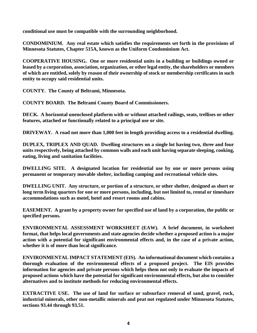**conditional use must be compatible with the surrounding neighborhood.**

**CONDOMINIUM. Any real estate which satisfies the requirements set forth in the provisions of Minnesota Statutes, Chapter 515A, known as the Uniform Condominium Act.**

**COOPERATIVE HOUSING. One or more residential units in a building or buildings owned or leased by a corporation, association, organization, or other legal entity, the shareholders or members of which are entitled, solely by reason of their ownership of stock or membership certificates in such entity to occupy said residential units.**

**COUNTY. The County of Beltrami, Minnesota.**

**COUNTY BOARD. The Beltrami County Board of Commissioners.**

**DECK. A horizontal unenclosed platform with or without attached railings, seats, trellises or other features, attached or functionally related to a principal use or site.**

**DRIVEWAY. A road not more than 1,000 feet in length providing access to a residential dwelling.**

**DUPLEX, TRIPLEX AND QUAD. Dwelling structures on a single lot having two, three and four units respectively, being attached by common walls and each unit having separate sleeping, cooking, eating, living and sanitation facilities.**

**DWELLING SITE. A designated location for residential use by one or more persons using permanent or temporary movable shelter, including camping and recreational vehicle sites.**

**DWELLING UNIT. Any structure, or portion of a structure, or other shelter, designed as short or long term living quarters for one or more persons, including, but not limited to, rental or timeshare accommodations such as motel, hotel and resort rooms and cabins.**

**EASEMENT. A grant by a property owner for specified use of land by a corporation, the public or specified persons.**

**ENVIRONMENTAL ASSESSMENT WORKSHEET (EAW). A brief document, in worksheet format, that helps local governments and state agencies decide whether a proposed action is a major action with a potential for significant environmental effects and, in the case of a private action, whether it is of more than local significance.**

**ENVIRONMENTAL IMPACT STATEMENT (EIS). An informational document which contains a thorough evaluation of the environmental effects of a proposed project. The EIS provides information for agencies and private persons which helps them not only to evaluate the impacts of proposed actions which have the potential for significant environmental effects, but also to consider alternatives and to institute methods for reducing environmental effects.**

**EXTRACTIVE USE. The use of land for surface or subsurface removal of sand, gravel, rock, industrial minerals, other non-metallic minerals and peat not regulated under Minnesota Statutes, sections 93.44 through 93.51.**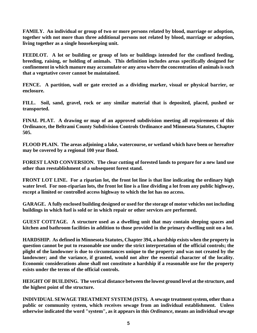**FAMILY. An individual or group of two or more persons related by blood, marriage or adoption, together with not more than three additional persons not related by blood, marriage or adoption, living together as a single housekeeping unit.**

**FEEDLOT. A lot or building or group of lots or buildings intended for the confined feeding, breeding, raising, or holding of animals. This definition includes areas specifically designed for confinement in which manure may accumulate or any area where the concentration of animals is such that a vegetative cover cannot be maintained.**

**FENCE. A partition, wall or gate erected as a dividing marker, visual or physical barrier, or enclosure.**

**FILL. Soil, sand, gravel, rock or any similar material that is deposited, placed, pushed or transported.**

**FINAL PLAT. A drawing or map of an approved subdivision meeting all requirements of this Ordinance, the Beltrami County Subdivision Controls Ordinance and Minnesota Statutes, Chapter 505.**

**FLOOD PLAIN. The areas adjoining a lake, watercourse, or wetland which have been or hereafter may be covered by a regional 100 year flood.**

**FOREST LAND CONVERSION. The clear cutting of forested lands to prepare for a new land use other than reestablishment of a subsequent forest stand.**

**FRONT LOT LINE. For a riparian lot, the front lot line is that line indicating the ordinary high water level. For non-riparian lots, the front lot line is a line dividing a lot from any public highway, except a limited or controlled access highway to which the lot has no access.**

**GARAGE. A fully enclosed building designed or used for the storage of motor vehicles not including buildings in which fuel is sold or in which repair or other services are performed.**

**GUEST COTTAGE. A structure used as a dwelling unit that may contain sleeping spaces and kitchen and bathroom facilities in addition to those provided in the primary dwelling unit on a lot.**

**HARDSHIP. As defined in Minnesota Statutes, Chapter 394, a hardship exists when the property in question cannot be put to reasonable use under the strict interpretation of the official controls; the plight of the landowner is due to circumstances unique to the property and was not created by the landowner; and the variance, if granted, would not alter the essential character of the locality. Economic considerations alone shall not constitute a hardship if a reasonable use for the property exists under the terms of the official controls.**

**HEIGHT OF BUILDING. The vertical distance between the lowest ground level at the structure, and the highest point of the structure.**

**INDIVIDUAL SEWAGE TREATMENT SYSTEM (ISTS). A sewage treatment system, other than a public or community system, which receives sewage from an individual establishment. Unless otherwise indicated the word "system", as it appears in this** *Ordinance***, means an individual sewage**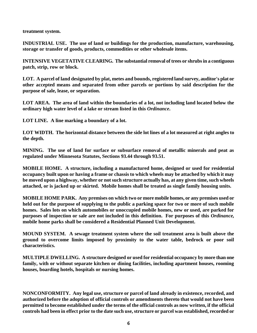**treatment system.**

**INDUSTRIAL USE. The use of land or buildings for the production, manufacture, warehousing, storage or transfer of goods, products, commodities or other wholesale items.**

**INTENSIVE VEGETATIVE CLEARING. The substantial removal of trees or shrubs in a contiguous patch, strip, row or block.**

**LOT. A parcel of land designated by plat, metes and bounds, registered land survey, auditor's plat or other accepted means and separated from other parcels or portions by said description for the purpose of sale, lease, or separation.**

**LOT AREA. The area of land within the boundaries of a lot, not including land located below the ordinary high water level of a lake or stream listed in this** *Ordinance***.**

**LOT LINE. A line marking a boundary of a lot.**

**LOT WIDTH. The horizontal distance between the side lot lines of a lot measured at right angles to the depth.**

**MINING. The use of land for surface or subsurface removal of metallic minerals and peat as regulated under Minnesota Statutes, Sections 93.44 through 93.51.**

**MOBILE HOME. A structure, including a manufactured home, designed or used for residential occupancy built upon or having a frame or chassis to which wheels may be attached by which it may be moved upon a highway, whether or not such structure actually has, at any given time, such wheels attached, or is jacked up or skirted. Mobile homes shall be treated as single family housing units.**

**MOBILE HOME PARK. Any premises on which two or more mobile homes, or any premises used or held out for the purpose of supplying to the public a parking space for two or more of such mobile homes. Sales lots on which automobiles or unoccupied mobile homes, new or used, are parked for purposes of inspection or sale are not included in this definition. For purposes of this** *Ordinance,* **mobile home parks shall be considered a Residential Planned Unit Development.**

**MOUND SYSTEM. A sewage treatment system where the soil treatment area is built above the ground to overcome limits imposed by proximity to the water table, bedrock or poor soil characteristics.**

**MULTIPLE DWELLING. A structure designed or used for residential occupancy by more than one family, with or without separate kitchen or dining facilities, including apartment houses, rooming houses, boarding hotels, hospitals or nursing homes.**

**NONCONFORMITY. Any legal use, structure or parcel of land already in existence, recorded, and authorized before the adoption of official controls or amendments thereto that would not have been permitted to become established under the terms of the official controls as now written, if the official controls had been in effect prior to the date such use, structure or parcel was established, recorded or**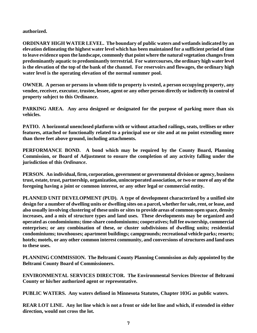**authorized.**

**ORDINARY HIGH WATER LEVEL. The boundary of public waters and wetlands indicated by an elevation delineating the highest water level which has been maintained for a sufficient period of time to leave evidence upon the landscape, commonly that point where the natural vegetation changes from predominantly aquatic to predominantly terrestrial. For watercourses, the ordinary high water level is the elevation of the top of the bank of the channel. For reservoirs and flowages, the ordinary high water level is the operating elevation of the normal summer pool.**

**OWNER. A person or persons in whom title to property is vested, a person occupying property, any vendee, receiver, executor, trustee, lessee, agent or any other person directly or indirectly in control of property subject to this Ordinance.**

**PARKING AREA. Any area designed or designated for the purpose of parking more than six vehicles.**

**PATIO. A horizontal unenclosed platform with or without attached railings, seats, trellises or other features, attached or functionally related to a principal use or site and at no point extending more than three feet above ground, including attachments.**

**PERFORMANCE BOND. A bond which may be required by the County Board, Planning Commission, or Board of Adjustment to ensure the completion of any activity falling under the jurisdiction of this** *Ordinance***.**

**PERSON. An individual, firm, corporation, government or governmental division or agency, business trust, estate, trust, partnership, organization, unincorporated association, or two or more of any of the foregoing having a joint or common interest, or any other legal or commercial entity.**

**PLANNED UNIT DEVELOPMENT (PUD). A type of development characterized by a unified site design for a number of dwelling units or dwelling sites on a parcel, whether for sale, rent, or lease, and also usually involving clustering of these units or sites to provide areas of common open space, density increases, and a mix of structure types and land uses. These developments may be organized and operated as condominiums; time-share condominiums; cooperatives; full fee ownership, commercial enterprises; or any combination of these, or cluster subdivisions of dwelling units; residential condominiums; townhouses; apartment buildings; campgrounds; recreational vehicle parks; resorts; hotels; motels, or any other common interest community, and conversions of structures and land uses to these uses.**

**PLANNING COMMISSION. The Beltrami County Planning Commission as duly appointed by the Beltrami County Board of Commissioners.**

**ENVIRONMENTAL SERVICES DIRECTOR. The Environmental Services Director of Beltrami County or his/her authorized agent or representative.**

**PUBLIC WATERS. Any waters defined in Minnesota Statutes, Chapter 103G as public waters.** 

**REAR LOT LINE. Any lot line which is not a front or side lot line and which, if extended in either direction, would not cross the lot.**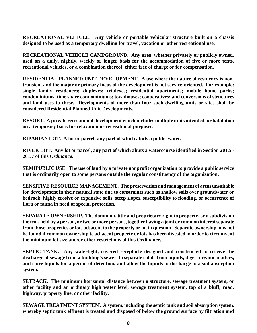**RECREATIONAL VEHICLE. Any vehicle or portable vehicular structure built on a chassis designed to be used as a temporary dwelling for travel, vacation or other recreational use.**

**RECREATIONAL VEHICLE CAMPGROUND. Any area, whether privately or publicly owned, used on a daily, nightly, weekly or longer basis for the accommodation of five or more tents, recreational vehicles, or a combination thereof, either free of charge or for compensation.**

**RESIDENTIAL PLANNED UNIT DEVELOPMENT. A use where the nature of residency is nontransient and the major or primary focus of the development is not service-oriented. For example: single family residences; duplexes; triplexes; residential apartments; mobile home parks; condominiums; time share condominiums; townhouses; cooperatives; and conversions of structures and land uses to these. Developments of more than four such dwelling units or sites shall be considered Residential Planned Unit Developments.**

**RESORT. A private recreational development which includes multiple units intended for habitation on a temporary basis for relaxation or recreational purposes.**

**RIPARIAN LOT. A lot or parcel, any part of which abuts a public water.**

**RIVER LOT. Any lot or parcel, any part of which abuts a watercourse identified in Section 201.5 - 201.7 of this** *Ordinance***.**

**SEMIPUBLIC USE. The use of land by a private nonprofit organization to provide a public service that is ordinarily open to some persons outside the regular constituency of the organization.**

**SENSITIVE RESOURCE MANAGEMENT. The preservation and management of areas unsuitable for development in their natural state due to constraints such as shallow soils over groundwater or bedrock, highly erosive or expansive soils, steep slopes, susceptibility to flooding, or occurrence of flora or fauna in need of special protection.**

**SEPARATE OWNERSHIP. The dominion, title and proprietary right to property, or a subdivision thereof, held by a person, or two or more persons, together having a joint or common interest separate from those properties or lots adjacent to the property or lot in question. Separate ownership may not be found if common ownership to adjacent property or lots has been divested in order to circumvent the minimum lot size and/or other restrictions of this Ordinance.**

**SEPTIC TANK. Any watertight, covered receptacle designed and constructed to receive the discharge of sewage from a building's sewer, to separate solids from liquids, digest organic matters, and store liquids for a period of detention, and allow the liquids to discharge to a soil absorption system.**

**SETBACK. The minimum horizontal distance between a structure, sewage treatment system, or other facility and an ordinary high water level, sewage treatment system, top of a bluff, road, highway, property line, or other facility.**

**SEWAGE TREATMENT SYSTEM. A system, including the septic tank and soil absorption system, whereby septic tank effluent is treated and disposed of below the ground surface by filtration and**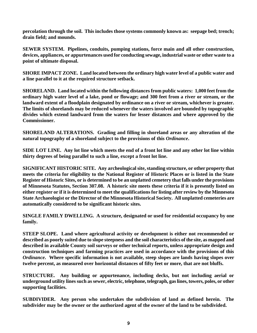**percolation through the soil. This includes those systems commonly known as: seepage bed; trench; drain field; and mounds.**

**SEWER SYSTEM. Pipelines, conduits, pumping stations, force main and all other construction, devices, appliances, or appurtenances used for conducting sewage, industrial waste or other waste to a point of ultimate disposal.**

**SHORE IMPACT ZONE. Land located between the ordinary high water level of a public water and a line parallel to it at the required structure setback.** 

**SHORELAND. Land located within the following distances from public waters: 1,000 feet from the ordinary high water level of a lake, pond or flowage; and 300 feet from a river or stream, or the landward extent of a floodplain designated by ordinance on a river or stream, whichever is greater. The limits of shorelands may be reduced whenever the waters involved are bounded by topographic divides which extend landward from the waters for lesser distances and where approved by the Commissioner.**

**SHORELAND ALTERATIONS. Grading and filling in shoreland areas or any alteration of the natural topography of a shoreland subject to the provisions of this** *Ordinance***.**

**SIDE LOT LINE. Any lot line which meets the end of a front lot line and any other lot line within thirty degrees of being parallel to such a line, except a front lot line.**

**SIGNIFICANT HISTORIC SITE. Any archeological site, standing structure, or other property that meets the criteria for eligibility to the National Register of Historic Places or is listed in the State Register of Historic Sites, or is determined to be an unplatted cemetery that falls under the provisions of Minnesota Statutes, Section 307.08. A historic site meets these criteria if it is presently listed on either register or if it is determined to meet the qualifications for listing after review by the Minnesota State Archaeologist or the Director of the Minnesota Historical Society. All unplatted cemeteries are automatically considered to be significant historic sites.**

**SINGLE FAMILY DWELLING. A structure, designated or used for residential occupancy by one family.**

**STEEP SLOPE. Land where agricultural activity or development is either not recommended or described as poorly suited due to slope steepness and the soil characteristics of the site, as mapped and described in available County soil surveys or other technical reports, unless appropriate design and construction techniques and farming practices are used in accordance with the provisions of this**  *Ordinance***. Where specific information is not available, steep slopes are lands having slopes over twelve percent, as measured over horizontal distances of fifty feet or more, that are not bluffs.**

**STRUCTURE. Any building or appurtenance, including decks, but not including aerial or underground utility lines such as sewer, electric, telephone, telegraph, gas lines, towers, poles, or other supporting facilities.**

**SUBDIVIDER. Any person who undertakes the subdivision of land as defined herein. The subdivider may be the owner or the authorized agent of the owner of the land to be subdivided.**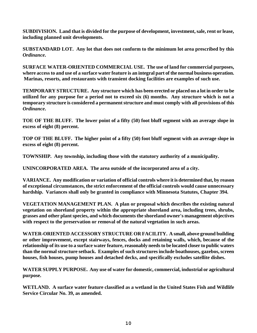**SUBDIVISION. Land that is divided for the purpose of development, investment, sale, rent or lease, including planned unit developments.**

**SUBSTANDARD LOT. Any lot that does not conform to the minimum lot area prescribed by this**  *Ordinance***.**

**SURFACE WATER-ORIENTED COMMERCIAL USE. The use of land for commercial purposes, where access to and use of a surface water feature is an integral part of the normal business operation. Marinas, resorts, and restaurants with transient docking facilities are examples of such use.**

**TEMPORARY STRUCTURE. Any structure which has been erected or placed on a lot in order to be utilized for any purpose for a period not to exceed six (6) months. Any structure which is not a temporary structure is considered a permanent structure and must comply with all provisions of this**  *Ordinance***.**

**TOE OF THE BLUFF. The lower point of a fifty (50) foot bluff segment with an average slope in excess of eight (8) percent.**

**TOP OF THE BLUFF. The higher point of a fifty (50) foot bluff segment with an average slope in excess of eight (8) percent.**

**TOWNSHIP. Any township, including those with the statutory authority of a municipality.**

**UNINCORPORATED AREA. The area outside of the incorporated area of a city.**

**VARIANCE. Any modification or variation of official controls where it is determined that, by reason of exceptional circumstances, the strict enforcement of the official controls would cause unnecessary hardship. Variances shall only be granted in compliance with Minnesota Statutes, Chapter 394.**

**VEGETATION MANAGEMENT PLAN. A plan or proposal which describes the existing natural vegetation on shoreland property within the appropriate shoreland area, including trees, shrubs, grasses and other plant species, and which documents the shoreland owner's management objectives with respect to the preservation or removal of the natural vegetation in such areas.**

**WATER-ORIENTED ACCESSORY STRUCTURE OR FACILITY. A small, above ground building or other improvement, except stairways, fences, docks and retaining walls, which, because of the relationship of its use to a surface water feature, reasonably needs to be located closer to public waters than the normal structure setback. Examples of such structures include boathouses, gazebos, screen houses, fish houses, pump houses and detached decks, and specifically excludes satellite dishes.**

**WATER SUPPLY PURPOSE. Any use of water for domestic, commercial, industrial or agricultural purpose.**

**WETLAND. A surface water feature classified as a wetland in the United States Fish and Wildlife Service Circular No. 39, as amended.**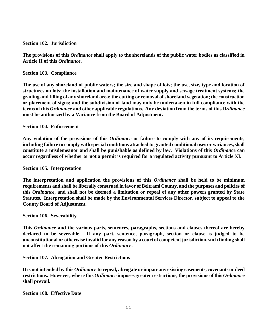#### **Section 102. Jurisdiction**

**The provisions of this** *Ordinance* **shall apply to the shorelands of the public water bodies as classified in Article II of this** *Ordinance***.** 

**Section 103. Compliance**

**The use of any shoreland of public waters; the size and shape of lots; the use, size, type and location of structures on lots; the installation and maintenance of water supply and sewage treatment systems; the grading and filling of any shoreland area; the cutting or removal of shoreland vegetation; the construction or placement of signs; and the subdivision of land may only be undertaken in full compliance with the terms of this** *Ordinance* **and other applicable regulations. Any deviation from the terms of this** *Ordinance* **must be authorized by a Variance from the Board of Adjustment.**

#### **Section 104. Enforcement**

**Any violation of the provisions of this** *Ordinance* **or failure to comply with any of its requirements, including failure to comply with special conditions attached to granted conditional uses or variances, shall constitute a misdemeanor and shall be punishable as defined by law. Violations of this** *Ordinance* **can occur regardless of whether or not a permit is required for a regulated activity pursuant to Article XI.**

**Section 105. Interpretation**

**The interpretation and application the provisions of this** *Ordinance* **shall be held to be minimum requirements and shall be liberally construed in favor of Beltrami County, and the purposes and policies of this** *Ordinance***, and shall not be deemed a limitation or repeal of any other powers granted by State Statutes. Interpretation shall be made by the Environmental Services Director, subject to appeal to the County Board of Adjustment.** 

**Section 106. Severability**

**This** *Ordinance* **and the various parts, sentences, paragraphs, sections and clauses thereof are hereby declared to be severable. If any part, sentence, paragraph, section or clause is judged to be unconstitutional or otherwise invalid for any reason by a court of competent jurisdiction, such finding shall not affect the remaining portions of this** *Ordinance***.**

**Section 107. Abrogation and Greater Restrictions**

**It is not intended by this** *Ordinance* **to repeal, abrogate or impair any existing easements, covenants or deed restrictions. However, where this** *Ordinance* **imposes greater restrictions, the provisions of this** *Ordinance* **shall prevail.** 

**Section 108. Effective Date**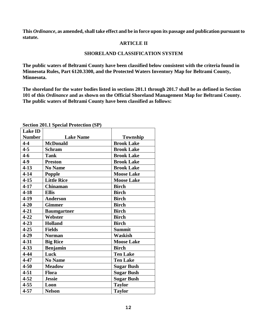**This** *Ordinance***, as amended, shall take effect and be in force upon its passage and publication pursuant to statute.**

#### **ARTICLE II**

#### **SHORELAND CLASSIFICATION SYSTEM**

**The public waters of Beltrami County have been classified below consistent with the criteria found in Minnesota Rules, Part 6120.3300, and the Protected Waters Inventory Map for Beltrami County, Minnesota.**

**The shoreland for the water bodies listed in sections 201.1 through 201.7 shall be as defined in Section 101 of this** *Ordinance* **and as shown on the Official Shoreland Management Map for Beltrami County. The public waters of Beltrami County have been classified as follows:**

| <b>Lake ID</b> |                    |                   |
|----------------|--------------------|-------------------|
| <b>Number</b>  | <b>Lake Name</b>   | Township          |
| $4 - 4$        | <b>McDonald</b>    | <b>Brook Lake</b> |
| $4 - 5$        | <b>Schram</b>      | <b>Brook Lake</b> |
| $4-6$          | <b>Tank</b>        | <b>Brook Lake</b> |
| $4 - 9$        | <b>Preston</b>     | <b>Brook Lake</b> |
| $4 - 13$       | <b>No Name</b>     | <b>Brook Lake</b> |
| $4 - 14$       | Popple             | <b>Moose Lake</b> |
| $4 - 15$       | <b>Little Rice</b> | <b>Moose Lake</b> |
| $4 - 17$       | <b>Chinaman</b>    | <b>Birch</b>      |
| $4 - 18$       | <b>Ellis</b>       | <b>Birch</b>      |
| $4 - 19$       | <b>Anderson</b>    | <b>Birch</b>      |
| $4 - 20$       | <b>Gimmer</b>      | <b>Birch</b>      |
| $4 - 21$       | <b>Baumgartner</b> | <b>Birch</b>      |
| $4 - 22$       | Webster            | <b>Birch</b>      |
| $4 - 23$       | <b>Holland</b>     | <b>Birch</b>      |
| $4 - 25$       | <b>Fields</b>      | <b>Summit</b>     |
| $4 - 29$       | <b>Norman</b>      | <b>Waskish</b>    |
| $4 - 31$       | <b>Big Rice</b>    | <b>Moose Lake</b> |
| $4 - 33$       | <b>Benjamin</b>    | <b>Birch</b>      |
| $4 - 44$       | Luck               | <b>Ten Lake</b>   |
| $4 - 47$       | <b>No Name</b>     | <b>Ten Lake</b>   |
| $4 - 50$       | <b>Meadow</b>      | <b>Sugar Bush</b> |
| $4 - 51$       | Flora              | <b>Sugar Bush</b> |
| $4 - 52$       | <b>Jessie</b>      | <b>Sugar Bush</b> |
| $4 - 55$       | Loon               | <b>Taylor</b>     |
| $4 - 57$       | <b>Nelson</b>      | <b>Taylor</b>     |

**Section 201.1 Special Protection (SP)**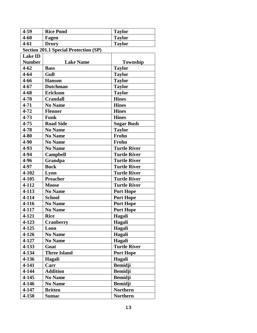| 4-59           | <b>Rice Pond</b>                             | <b>Taylor</b>       |
|----------------|----------------------------------------------|---------------------|
| $4 - 60$       | Fagen                                        | <b>Taylor</b>       |
| $4 - 61$       | <b>Drury</b>                                 | <b>Taylor</b>       |
|                | <b>Section 201.1 Special Protection (SP)</b> |                     |
| <b>Lake ID</b> |                                              |                     |
| <b>Number</b>  | <b>Lake Name</b>                             | Township            |
| $4 - 62$       | <b>Bass</b>                                  | <b>Taylor</b>       |
| $4 - 64$       | Gull                                         | <b>Taylor</b>       |
| $4 - 66$       | <b>Hanson</b>                                | <b>Taylor</b>       |
| $4 - 67$       | <b>Dutchman</b>                              | <b>Taylor</b>       |
| $4 - 68$       | <b>Erickson</b>                              | <b>Taylor</b>       |
| $4 - 70$       | <b>Crandall</b>                              | <b>Hines</b>        |
| $4 - 71$       | <b>No Name</b>                               | <b>Hines</b>        |
| $4 - 72$       | <b>Flenner</b>                               | <b>Hines</b>        |
| $4 - 73$       | <b>Funk</b>                                  | <b>Hines</b>        |
| $4 - 75$       | <b>Road Side</b>                             | <b>Sugar Bush</b>   |
| 4-78           | <b>No Name</b>                               | <b>Taylor</b>       |
| 4-80           | <b>No Name</b>                               | Frohn               |
| 4-90           | <b>No Name</b>                               | Frohn               |
| $4-93$         | <b>No Name</b>                               | <b>Turtle River</b> |
| 4-94           | <b>Campbell</b>                              | <b>Turtle River</b> |
| 4-96           | Grandpa                                      | <b>Turtle River</b> |
| 4-97           | <b>Buck</b>                                  | <b>Turtle River</b> |
| 4-102          | Lynn                                         | <b>Turtle River</b> |
| $4 - 105$      | <b>Preacher</b>                              | <b>Turtle River</b> |
| 4-112          | <b>Moose</b>                                 | <b>Turtle River</b> |
| $4 - 113$      | <b>No Name</b>                               | <b>Port Hope</b>    |
| 4-114          | <b>School</b>                                | <b>Port Hope</b>    |
| 4-116          | <b>No Name</b>                               | <b>Port Hope</b>    |
| 4-117          | <b>No Name</b>                               | <b>Port Hope</b>    |
| 4-121          | <b>Rice</b>                                  | Hagali              |
| $4 - 123$      | <b>Cranberry</b>                             | Hagali              |
| $4 - 125$      | Loon                                         | Hagali              |
| $4 - 126$      | <b>No Name</b>                               | Hagali              |
| 4-127          | <b>No Name</b>                               | Hagali              |
| 4-133          | Gnat                                         | <b>Turtle River</b> |
| 4-134          | <b>Three Island</b>                          | <b>Port Hope</b>    |
| 4-136          | Hagali                                       | Hagali              |
| 4-141          | Carr                                         | <b>Bemidji</b>      |
| 4-144          | <b>Addition</b>                              | <b>Bemidji</b>      |
| 4-145          | <b>No Name</b>                               | <b>Bemidji</b>      |
| $4 - 146$      | <b>No Name</b>                               | <b>Bemidji</b>      |
| 4-147          | <b>Britten</b>                               | <b>Northern</b>     |
| 4-150          | <b>Sumac</b>                                 | <b>Northern</b>     |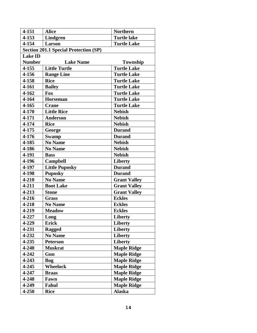| 4-151          | <b>Alice</b>                                 | <b>Northern</b>     |
|----------------|----------------------------------------------|---------------------|
| 4-153          | <b>Lindgren</b>                              | <b>Turtle lake</b>  |
| 4-154          | Larson                                       | <b>Turtle Lake</b>  |
|                | <b>Section 201.1 Special Protection (SP)</b> |                     |
| <b>Lake ID</b> |                                              |                     |
| <b>Number</b>  | <b>Lake Name</b>                             | Township            |
| 4-155          | <b>Little Turtle</b>                         | <b>Turtle Lake</b>  |
| 4-156          | <b>Range Line</b>                            | <b>Turtle Lake</b>  |
| 4-158          | <b>Rice</b>                                  | <b>Turtle Lake</b>  |
| 4-161          | <b>Bailey</b>                                | <b>Turtle Lake</b>  |
| 4-162          | <b>Fox</b>                                   | <b>Turtle Lake</b>  |
| 4-164          | <b>Horseman</b>                              | <b>Turtle Lake</b>  |
| 4-165          | <b>Crane</b>                                 | <b>Turtle Lake</b>  |
| 4-170          | <b>Little Rice</b>                           | <b>Nebish</b>       |
| 4-171          | <b>Anderson</b>                              | <b>Nebish</b>       |
| 4-174          | <b>Rice</b>                                  | <b>Nebish</b>       |
| 4-175          | George                                       | <b>Durand</b>       |
| $4 - 176$      | <b>Swamp</b>                                 | <b>Durand</b>       |
| 4-185          | <b>No Name</b>                               | <b>Nebish</b>       |
| 4-186          | <b>No Name</b>                               | <b>Nebish</b>       |
| 4-191          | <b>Bass</b>                                  | <b>Nebish</b>       |
| 4-196          | <b>Campbell</b>                              | Liberty             |
| 4-197          | <b>Little Puposky</b>                        | <b>Durand</b>       |
| 4-198          | <b>Puposky</b>                               | <b>Durand</b>       |
| 4-210          | <b>No Name</b>                               | <b>Grant Valley</b> |
| 4-211          | <b>Boot Lake</b>                             | <b>Grant Valley</b> |
| 4-213          | <b>Stone</b>                                 | <b>Grant Valley</b> |
| 4-216          | <b>Grass</b>                                 | <b>Eckles</b>       |
| 4-218          | <b>No Name</b>                               | <b>Eckles</b>       |
| 4-219          | <b>Meadow</b>                                | <b>Eckles</b>       |
| 4-227          | Long                                         | Liberty             |
| 4-229          | <b>Erick</b>                                 | <b>Liberty</b>      |
| 4-231          | <b>Ragged</b>                                | Liberty             |
| 4-232          | <b>No Name</b>                               | <b>Liberty</b>      |
| 4-235          | <b>Peterson</b>                              | <b>Liberty</b>      |
| 4-240          | <b>Muskrat</b>                               | <b>Maple Ridge</b>  |
| 4-242          | Gun                                          | <b>Maple Ridge</b>  |
| $4 - 243$      | Bog                                          | <b>Maple Ridge</b>  |
| 4-245          | <b>Wheelock</b>                              | <b>Maple Ridge</b>  |
| 4-247          | <b>Braas</b>                                 | <b>Maple Ridge</b>  |
| 4-248          | Fawn                                         | <b>Maple Ridge</b>  |
| 4-249          | Fahul                                        | <b>Maple Ridge</b>  |
| 4-250          | <b>Rice</b>                                  | <b>Alaska</b>       |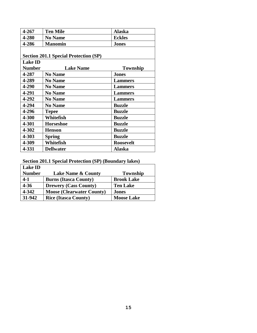| 4-267          | <b>Ten Mile</b>                              | <b>Alaska</b>    |
|----------------|----------------------------------------------|------------------|
| 4-280          | <b>No Name</b>                               | <b>Eckles</b>    |
| 4-286          | <b>Manomin</b>                               | <b>Jones</b>     |
|                |                                              |                  |
|                | <b>Section 201.1 Special Protection (SP)</b> |                  |
| <b>Lake ID</b> |                                              |                  |
| <b>Number</b>  | <b>Lake Name</b>                             | <b>Township</b>  |
| 4-287          | <b>No Name</b>                               | <b>Jones</b>     |
| 4-289          | <b>No Name</b>                               | <b>Lammers</b>   |
| 4-290          | <b>No Name</b>                               | <b>Lammers</b>   |
| 4-291          | <b>No Name</b>                               | <b>Lammers</b>   |
| 4-292          | <b>No Name</b>                               | <b>Lammers</b>   |
| 4-294          | <b>No Name</b>                               | <b>Buzzle</b>    |
| 4-296          | <b>Tepee</b>                                 | <b>Buzzle</b>    |
| 4-300          | Whitefish                                    | <b>Buzzle</b>    |
| 4-301          | <b>Horseshoe</b>                             | <b>Buzzle</b>    |
| 4-302          | <b>Henson</b>                                | <b>Buzzle</b>    |
| 4-303          | <b>Spring</b>                                | <b>Buzzle</b>    |
| 4-309          | Whitefish                                    | <b>Roosevelt</b> |
| 4-331          | <b>Dellwater</b>                             | Alaska           |

**Section 201.1 Special Protection (SP) (Boundary lakes)**

| <b>Lake ID</b> |                                  |                   |
|----------------|----------------------------------|-------------------|
| <b>Number</b>  | <b>Lake Name &amp; County</b>    | <b>Township</b>   |
| $4-1$          | <b>Burns (Itasca County)</b>     | <b>Brook Lake</b> |
| $4 - 36$       | <b>Drewery (Cass County)</b>     | <b>Ten Lake</b>   |
| 4-342          | <b>Moose (Clearwater County)</b> | <b>Jones</b>      |
| 31-942         | <b>Rice (Itasca County)</b>      | <b>Moose Lake</b> |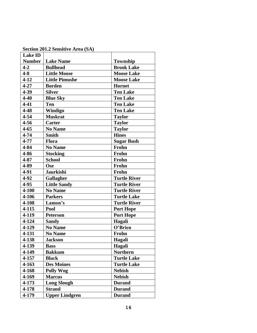| <b>Lake ID</b> |                       |                     |
|----------------|-----------------------|---------------------|
| <b>Number</b>  | <b>Lake Name</b>      | Township            |
| $4 - 2$        | <b>Bullhead</b>       | <b>Brook Lake</b>   |
| $4 - 8$        | <b>Little Moose</b>   | <b>Moose Lake</b>   |
| $4 - 12$       | <b>Little Pimushe</b> | <b>Moose Lake</b>   |
| $4 - 27$       | <b>Borden</b>         | Hornet              |
| $4 - 39$       | <b>Silver</b>         | <b>Ten Lake</b>     |
| $4 - 40$       | <b>Blue Sky</b>       | <b>Ten Lake</b>     |
| $4 - 41$       | <b>Ten</b>            | <b>Ten Lake</b>     |
| $4 - 48$       | Windigo               | <b>Ten Lake</b>     |
| $4 - 54$       | <b>Muskrat</b>        | <b>Taylor</b>       |
| $4 - 56$       | <b>Carter</b>         | <b>Taylor</b>       |
| $4 - 65$       | <b>No Name</b>        | <b>Taylor</b>       |
| $4 - 74$       | <b>Smith</b>          | <b>Hines</b>        |
| 4-77           | <b>Flora</b>          | <b>Sugar Bush</b>   |
| 4-84           | <b>No Name</b>        | Frohn               |
| 4-86           | <b>Stocking</b>       | Frohn               |
| $4 - 87$       | <b>School</b>         | Frohn               |
| 4-89           | Ose                   | Frohn               |
| 4-91           | <b>Jaurkishi</b>      | Frohn               |
| $4 - 92$       | Gallagher             | <b>Turtle River</b> |
| 4-95           | <b>Little Sandy</b>   | <b>Turtle River</b> |
| 4-100          | <b>No Name</b>        | <b>Turtle River</b> |
| 4-106          | <b>Parkers</b>        | <b>Turtle Lake</b>  |
| 4-108          | Lamon's               | <b>Turtle River</b> |
| $4 - 115$      | Pool                  | <b>Port Hope</b>    |
| 4-119          | <b>Peterson</b>       | <b>Port Hope</b>    |
| 4-124          | <b>Sandy</b>          | Hagali              |
| 4-129          | <b>No Name</b>        | O'Brien             |
| 4-131          | <b>No Name</b>        | Frohn               |
| 4-138          | <b>Jackson</b>        | Hagali              |
| 4-139          | <b>Bass</b>           | Hagali              |
| 4-149          | <b>Bakkum</b>         | <b>Northern</b>     |
| 4-157          | <b>Black</b>          | <b>Turtle Lake</b>  |
| 4-163          | <b>Des Moines</b>     | <b>Turtle Lake</b>  |
| 4-168          | <b>Polly Wog</b>      | <b>Nebish</b>       |
| 4-169          | <b>Marcus</b>         | <b>Nebish</b>       |
| 4-173          | <b>Long Slough</b>    | <b>Durand</b>       |
| 4-178          | <b>Strand</b>         | <b>Durand</b>       |
| 4-179          | <b>Upper Lindgren</b> | <b>Durand</b>       |

**Section 201.2 Sensitive Area (SA)**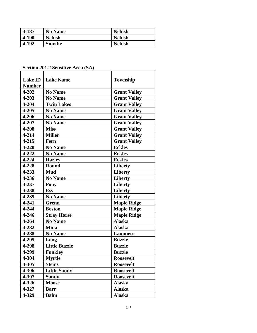| 4-187 | <b>No Name</b> | <b>Nebish</b> |
|-------|----------------|---------------|
| 4-190 | <b>Nebish</b>  | <b>Nebish</b> |
| 4-192 | <b>Smythe</b>  | <b>Nebish</b> |

# **Section 201.2 Sensitive Area (SA)**

| <b>Lake ID</b> | <b>Lake Name</b>     | Township            |
|----------------|----------------------|---------------------|
| <b>Number</b>  |                      |                     |
| 4-202          | <b>No Name</b>       | <b>Grant Valley</b> |
| 4-203          | <b>No Name</b>       | <b>Grant Valley</b> |
| 4-204          | <b>Twin Lakes</b>    | <b>Grant Valley</b> |
| 4-205          | <b>No Name</b>       | <b>Grant Valley</b> |
| 4-206          | <b>No Name</b>       | <b>Grant Valley</b> |
| 4-207          | <b>No Name</b>       | <b>Grant Valley</b> |
| 4-208          | <b>Miss</b>          | <b>Grant Valley</b> |
| $4 - 214$      | <b>Miller</b>        | <b>Grant Valley</b> |
| $4 - 215$      | Fern                 | <b>Grant Valley</b> |
| 4-220          | <b>No Name</b>       | <b>Eckles</b>       |
| 4-222          | <b>No Name</b>       | <b>Eckles</b>       |
| 4-224          | <b>Harley</b>        | <b>Eckles</b>       |
| $4 - 228$      | <b>Round</b>         | <b>Liberty</b>      |
| 4-233          | Mud                  | Liberty             |
| 4-236          | <b>No Name</b>       | Liberty             |
| 4-237          | Pony                 | <b>Liberty</b>      |
| 4-238          | <b>Ess</b>           | <b>Liberty</b>      |
| 4-239          | <b>No Name</b>       | <b>Liberty</b>      |
| 4-241          | Grenn                | <b>Maple Ridge</b>  |
| 4-244          | <b>Boston</b>        | <b>Maple Ridge</b>  |
| 4-246          | <b>Stray Horse</b>   | <b>Maple Ridge</b>  |
| 4-264          | <b>No Name</b>       | <b>Alaska</b>       |
| 4-282          | <b>Mina</b>          | <b>Alaska</b>       |
| 4-288          | <b>No Name</b>       | <b>Lammers</b>      |
| 4-295          | Long                 | <b>Buzzle</b>       |
| 4-298          | <b>Little Buzzle</b> | <b>Buzzle</b>       |
| 4-299          | <b>Funkley</b>       | <b>Buzzle</b>       |
| 4-304          | <b>Mvrtle</b>        | Roosevelt           |
| 4-305          | <b>Steins</b>        | <b>Roosevelt</b>    |
| 4-306          | <b>Little Sandy</b>  | <b>Roosevelt</b>    |
| 4-307          | <b>Sandy</b>         | <b>Roosevelt</b>    |
| 4-326          | <b>Moose</b>         | <b>Alaska</b>       |
| 4-327          | <b>Barr</b>          | <b>Alaska</b>       |
| 4-329          | <b>Balm</b>          | <b>Alaska</b>       |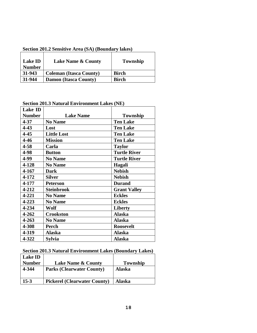| <b>Lake ID</b><br><b>Number</b> | <b>Lake Name &amp; County</b>  | Township     |
|---------------------------------|--------------------------------|--------------|
| 31-943                          | <b>Coleman (Itasca County)</b> | <b>Birch</b> |
| 31-944                          | <b>Damon (Itasca County)</b>   | <b>Birch</b> |

**Section 201.2 Sensitive Area (SA) (Boundary lakes)**

**Section 201.3 Natural Environment Lakes (NE)** 

| Lake ID       |                    |                     |
|---------------|--------------------|---------------------|
| <b>Number</b> | <b>Lake Name</b>   | Township            |
| $4 - 37$      | <b>No Name</b>     | <b>Ten Lake</b>     |
| $4 - 43$      | Lost               | <b>Ten Lake</b>     |
| 4-45          | <b>Little Lost</b> | <b>Ten Lake</b>     |
| $4 - 46$      | <b>Mission</b>     | <b>Ten Lake</b>     |
| $4 - 58$      | Carla              | <b>Taylor</b>       |
| 4-98          | <b>Button</b>      | <b>Turtle River</b> |
| 4-99          | <b>No Name</b>     | <b>Turtle River</b> |
| 4-128         | <b>No Name</b>     | Hagali              |
| 4-167         | <b>Dark</b>        | <b>Nebish</b>       |
| 4-172         | <b>Silver</b>      | <b>Nebish</b>       |
| 4-177         | <b>Peterson</b>    | <b>Durand</b>       |
| 4-212         | <b>Steinbrook</b>  | <b>Grant Valley</b> |
| 4-221         | <b>No Name</b>     | <b>Eckles</b>       |
| 4-223         | <b>No Name</b>     | <b>Eckles</b>       |
| 4-234         | Wolf               | <b>Liberty</b>      |
| 4-262         | <b>Crookston</b>   | <b>Alaska</b>       |
| 4-263         | <b>No Name</b>     | Alaska              |
| 4-308         | <b>Perch</b>       | <b>Roosevelt</b>    |
| 4-319         | Alaska             | <b>Alaska</b>       |
| 4-322         | Sylvia             | <b>Alaska</b>       |

#### **Section 201.3 Natural Environment Lakes (Boundary Lakes)**

| <b>Lake ID</b> |                                     |               |
|----------------|-------------------------------------|---------------|
| <b>Number</b>  | <b>Lake Name &amp; County</b>       | Township      |
| 4-344          | <b>Parks (Clearwater County)</b>    | <b>Alaska</b> |
| $15-3$         | <b>Pickerel (Clearwater County)</b> | Alaska        |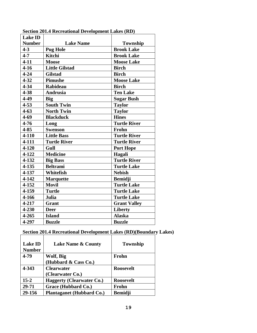| <b>Lake ID</b> |                       |                     |
|----------------|-----------------------|---------------------|
| <b>Number</b>  | <b>Lake Name</b>      | Township            |
| $4 - 3$        | <b>Pug Hole</b>       | <b>Brook Lake</b>   |
| $4 - 7$        | <b>Kitchi</b>         | <b>Brook Lake</b>   |
| $4 - 11$       | <b>Moose</b>          | <b>Moose Lake</b>   |
| $4 - 16$       | <b>Little Gilstad</b> | <b>Birch</b>        |
| $4 - 24$       | <b>Gilstad</b>        | <b>Birch</b>        |
| $4 - 32$       | <b>Pimushe</b>        | <b>Moose Lake</b>   |
| $4 - 34$       | <b>Rabideau</b>       | <b>Birch</b>        |
| $4 - 38$       | <b>Andrusia</b>       | <b>Ten Lake</b>     |
| 4-49           | <b>Big</b>            | <b>Sugar Bush</b>   |
| $4 - 53$       | South Twin            | <b>Taylor</b>       |
| $4 - 63$       | <b>North Twin</b>     | <b>Taylor</b>       |
| $4 - 69$       | <b>Blackduck</b>      | <b>Hines</b>        |
| $4 - 76$       | Long                  | <b>Turtle River</b> |
| $4 - 85$       | <b>Swenson</b>        | Frohn               |
| 4-110          | <b>Little Bass</b>    | <b>Turtle River</b> |
| 4-111          | <b>Turtle River</b>   | <b>Turtle River</b> |
| 4-120          | Gull                  | <b>Port Hope</b>    |
| $4 - 122$      | <b>Medicine</b>       | Hagali              |
| 4-132          | <b>Big Bass</b>       | <b>Turtle River</b> |
| $4 - 135$      | <b>Beltrami</b>       | <b>Turtle Lake</b>  |
| 4-137          | Whitefish             | <b>Nebish</b>       |
| $4 - 142$      | <b>Marquette</b>      | <b>Bemidji</b>      |
| 4-152          | <b>Movil</b>          | <b>Turtle Lake</b>  |
| 4-159          | <b>Turtle</b>         | <b>Turtle Lake</b>  |
| 4-166          | Julia                 | <b>Turtle Lake</b>  |
| 4-217          | <b>Grant</b>          | <b>Grant Valley</b> |
| 4-230          | <b>Deer</b>           | <b>Liberty</b>      |
| $4 - 265$      | <b>Island</b>         | <b>Alaska</b>       |
| 4-297          | <b>Buzzle</b>         | <b>Buzzle</b>       |

**Section 201.4 Recreational Development Lakes (RD)**

# **Section 201.4 Recreational Development Lakes (RD)(Boundary Lakes)**

| <b>Lake ID</b><br><b>Number</b> | <b>Lake Name &amp; County</b>    | Township         |
|---------------------------------|----------------------------------|------------------|
| 4-79                            | Wolf, Big                        | Frohn            |
|                                 | (Hubbard & Cass Co.)             |                  |
| 4-343                           | <b>Clearwater</b>                | <b>Roosevelt</b> |
|                                 | (Clearwater Co.)                 |                  |
| $15 - 2$                        | <b>Haggerty (Clearwater Co.)</b> | <b>Roosevelt</b> |
| 29-71                           | Grace (Hubbard Co.)              | Frohn            |
| 29-156                          | <b>Plantaganet (Hubbard Co.)</b> | <b>Bemidji</b>   |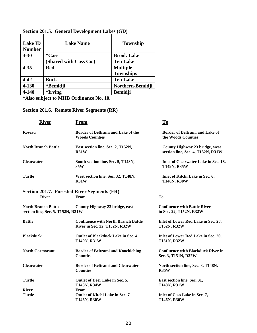| <b>Lake Name</b>       | <b>Township</b>   |
|------------------------|-------------------|
| <i>*Cass</i>           | <b>Brook Lake</b> |
| (Shared with Cass Co.) | <b>Ten Lake</b>   |
| Red                    | <b>Multiple</b>   |
|                        | <b>Townships</b>  |
| <b>Buck</b>            | <b>Ten Lake</b>   |
| *Bemidji               | Northern-Bemidji  |
| <i>*Irving</i>         | <b>Bemidji</b>    |
|                        |                   |

# **Section 201.5. General Development Lakes (GD)**

**\*Also subject to MHB Ordinance No. 10.**

**Section 201.6. Remote River Segments (RR)**

| <b>River</b>                                                    | <b>From</b>                                                                 | $To$                                                                |
|-----------------------------------------------------------------|-----------------------------------------------------------------------------|---------------------------------------------------------------------|
| <b>Roseau</b>                                                   | Border of Beltrami and Lake of the<br><b>Woods Counties</b>                 | Border of Beltrami and Lake of<br>the Woods Counties                |
| <b>North Branch Battle</b>                                      | East section line, Sec. 2, T152N,<br>R31W                                   | County Highway 23 bridge, west<br>section line, Sec. 4, T152N, R31W |
| <b>Clearwater</b>                                               | South section line, Sec. 5, T148N,<br>35W                                   | Inlet of Clearwater Lake in Sec. 18,<br>T149N, R35W                 |
| <b>Turtle</b>                                                   | West section line, Sec. 32, T148N,<br>R31W                                  | Inlet of Kitchi Lake in Sec. 6,<br>T146N, R30W                      |
| Section 201.7. Forested River Segments (FR)                     |                                                                             |                                                                     |
| <b>River</b>                                                    | From                                                                        | <b>To</b>                                                           |
| <b>North Branch Battle</b><br>section line, Sec. 5, T152N, R31W | County Highway 23 bridge, east                                              | <b>Confluence with Battle River</b><br>in Sec. 22, T152N, R32W      |
| <b>Battle</b>                                                   | <b>Confluence with North Branch Battle</b><br>River in Sec. 22, T152N, R32W | Inlet of Lower Red Lake in Sec. 28,<br><b>T152N, R32W</b>           |
| <b>Blackduck</b>                                                | Outlet of Blackduck Lake in Sec. 4,<br><b>T149N, R31W</b>                   | Inlet of Lower Red Lake in Sec. 20,<br><b>T151N, R32W</b>           |
| <b>North Cormorant</b>                                          | <b>Border of Beltrami and Koochiching</b><br><b>Counties</b>                | <b>Confluence with Blackduck River in</b><br>Sec. 3, T151N, R32W    |
| <b>Clearwater</b>                                               | <b>Border of Beltrami and Clearwater</b><br><b>Counties</b>                 | North section line, Sec. 8, T148N,<br>R35W                          |
| <b>Turtle</b>                                                   | Outlet of Deer Lake in Sec. 5,<br><b>T148N, R34W</b>                        | East section line, Sec. 31,<br><b>T148N, R31W</b>                   |
| River                                                           | From                                                                        |                                                                     |
| <b>Turtle</b>                                                   | Outlet of Kitchi Lake in Sec. 7<br><b>T146N, R30W</b>                       | Inlet of Cass Lake in Sec. 7,<br>T146N, R30W                        |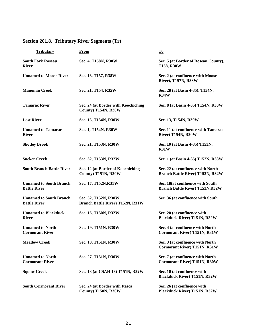| <b>Tributary</b>                                      | <b>From</b>                                                     | $\mathbf{T}\mathbf{o}$                                                       |  |  |
|-------------------------------------------------------|-----------------------------------------------------------------|------------------------------------------------------------------------------|--|--|
| <b>South Fork Roseau</b><br><b>River</b>              | Sec. 4, T158N, R38W                                             | Sec. 5 (at Border of Roseau County),<br>T158, R38W                           |  |  |
| <b>Unnamed to Moose River</b>                         | Sec. 13, T157, R38W                                             | Sec. 2 (at confluence with Moose<br>River), T157N, R38W                      |  |  |
| <b>Manomin Creek</b>                                  | Sec. 21, T154, R35W                                             | Sec. 28 (at Basin 4-35), T154N,<br><b>R34W</b>                               |  |  |
| <b>Tamarac River</b>                                  | Sec. 24 (at Border with Koochiching<br>County) T154N, R30W      | Sec. 8 (at Basin 4-35) T154N, R30W                                           |  |  |
| <b>Lost River</b>                                     | Sec. 13, T154N, R30W                                            | Sec. 13, T154N, R30W                                                         |  |  |
| <b>Unnamed to Tamarac</b><br><b>River</b>             | Sec. 1, T154N, R30W                                             | Sec. 11 (at confluence with Tamarac<br>River) T154N, R30W                    |  |  |
| <b>Shotley Brook</b>                                  | Sec. 21, T153N, R30W                                            | Sec. 10 (at Basin 4-35) T153N,<br>R31W                                       |  |  |
| <b>Sucker Creek</b>                                   | Sec. 32, T153N, R32W                                            | Sec. 1 (at Basin 4-35) T152N, R33W                                           |  |  |
| <b>South Branch Battle River</b>                      | Sec. 12 (at Border of Koochiching<br>County) T151N, R30W        | Sec. 22 (at confluence with North<br><b>Branch Battle River) T152N, R32W</b> |  |  |
| <b>Unnamed to South Branch</b><br><b>Battle River</b> | Sec. 17, T152N, R31W                                            | Sec. 18(at confluence with South<br><b>Branch Battle River) T152N, R32W</b>  |  |  |
| <b>Unnamed to South Branch</b><br><b>Battle River</b> | Sec. 32, T152N, R30W<br><b>Branch Battle River) T152N, R31W</b> | Sec. 36 (at confluence with South                                            |  |  |
| <b>Unnamed to Blackduck</b><br><b>River</b>           | Sec. 16, T150N, R32W                                            | Sec. 20 (at confluence with<br><b>Blackduck River) T151N, R32W</b>           |  |  |
| <b>Unnamed to North</b><br><b>Cormorant River</b>     | Sec. 19, T151N, R30W                                            | Sec. 4 (at confluence with North<br><b>Cormorant River) T151N, R31W</b>      |  |  |
| <b>Meadow Creek</b>                                   | Sec. 10, T151N, R30W                                            | Sec. 3 (at confluence with North<br><b>Cormorant River) T151N, R31W</b>      |  |  |
| <b>Unnamed to North</b><br><b>Cormorant River</b>     | Sec. 27, T151N, R30W                                            | Sec. 7 (at confluence with North<br><b>Cormorant River) T151N, R30W</b>      |  |  |
| <b>Squaw Creek</b>                                    | Sec. 13 (at CSAH 13) T151N, R32W                                | Sec. 10 (at confluence with<br><b>Blackduck River) T151N, R32W</b>           |  |  |
| <b>South Cormorant River</b>                          | Sec. 24 (at Border with Itasca<br>County) T150N, R30W           | Sec. 26 (at confluence with<br><b>Blackduck River) T151N, R32W</b>           |  |  |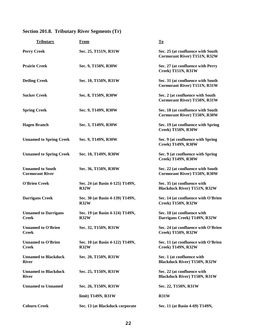| <b>Tributary</b>                                  | <b>From</b>                             | $\mathbf{T}\mathbf{0}$                                                   |
|---------------------------------------------------|-----------------------------------------|--------------------------------------------------------------------------|
| <b>Perry Creek</b>                                | Sec. 25, T151N, R31W                    | Sec. 25 (at confluence with South<br><b>Cormorant River) T151N, R32W</b> |
| <b>Prairie Creek</b>                              | Sec. 9, T150N, R30W                     | Sec. 27 (at confluence with Perry<br>Creek) T151N, R31W                  |
| <b>Detling Creek</b>                              | Sec. 10, T150N, R31W                    | Sec. 31 (at confluence with South<br><b>Cormorant River) T151N, R31W</b> |
| <b>Sucker Creek</b>                               | Sec. 8, T150N, R30W                     | Sec. 2 (at confluence with South<br><b>Cormorant River) T150N, R31W</b>  |
| <b>Spring Creek</b>                               | Sec. 9, T149N, R30W                     | Sec. 18 (at confluence with South<br><b>Cormorant River) T150N, R30W</b> |
| <b>Hagen Branch</b>                               | Sec. 3, T149N, R30W                     | Sec. 19 (at confluence with Spring<br>Creek) T150N, R30W                 |
| <b>Unnamed to Spring Creek</b>                    | Sec. 9, T149N, R30W                     | Sec. 9 (at confluence with Spring<br><b>Creek) T149N, R30W</b>           |
| <b>Unnamed to Spring Creek</b>                    | Sec. 10, T149N, R30W                    | Sec. 9 (at confluence with Spring<br><b>Creek) T149N, R30W</b>           |
| <b>Unnamed to South</b><br><b>Cormorant River</b> | Sec. 36, T150N, R30W                    | Sec. 22 (at confluence with South<br><b>Cormorant River) T150N, R30W</b> |
| <b>O'Brien Creek</b>                              | Sec. 24 (at Basin 4-125) T149N,<br>R32W | Sec. 35 (at confluence with<br><b>Blackduck River) T151N, R32W</b>       |
| <b>Darrigans Creek</b>                            | Sec. 30 (at Basin 4-139) T149N,<br>R32W | Sec. 14 (at confluence with O'Brien<br><b>Creek) T150N, R32W</b>         |
| <b>Unnamed to Darrigans</b><br><b>Creek</b>       | Sec. 19 (at Basin 4-124) T149N,<br>R32W | Sec. 18 (at confluence with<br>Darrigans Creek) T149N, R32W              |
| <b>Unnamed to O'Brien</b><br><b>Creek</b>         | Sec. 32, T150N, R31W                    | Sec. 24 (at confluence with O'Brien<br><b>Creek) T150N, R32W</b>         |
| <b>Unnamed to O'Brien</b><br><b>Creek</b>         | Sec. 10 (at Basin 4-122) T149N,<br>R32W | Sec. 11 (at confluence with O'Brien<br>Creek) T149N, R32W                |
| <b>Unnamed to Blackduck</b><br><b>River</b>       | Sec. 20, T150N, R31W                    | Sec. 1 (at confluence with<br><b>Blackduck River) T150N, R32W</b>        |
| <b>Unnamed to Blackduck</b><br><b>River</b>       | Sec. 25, T150N, R31W                    | Sec. 22 (at confluence with<br><b>Blackduck River) T150N, R31W</b>       |
| <b>Unnamed to Unnamed</b>                         | Sec. 26, T150N, R31W                    | Sec. 22, T150N, R31W                                                     |
|                                                   | limit) T149N, R31W                      | R31W                                                                     |
| <b>Coburn Creek</b>                               | Sec. 13 (at Blackduck corporate         | Sec. 11 (at Basin 4-69) T149N,                                           |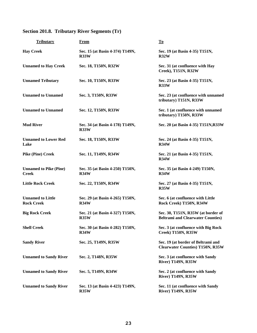| <b>Tributary</b>                              | <b>From</b>                                    | $\underline{\mathbf{To}}$                                                      |
|-----------------------------------------------|------------------------------------------------|--------------------------------------------------------------------------------|
| <b>Hay Creek</b>                              | Sec. 15 (at Basin 4-374) T149N,<br><b>R33W</b> | Sec. 19 (at Basin 4-35) T151N,<br><b>R32W</b>                                  |
| <b>Unnamed to Hay Creek</b>                   | Sec. 18, T150N, R32W                           | Sec. 31 (at confluence with Hay<br>Creek), T151N, R32W                         |
| <b>Unnamed Tributary</b>                      | Sec. 10, T150N, R33W                           | Sec. 23 (at Basin 4-35) T151N,<br>R33W                                         |
| <b>Unnamed to Unnamed</b>                     | Sec. 3, T150N, R33W                            | Sec. 23 (at confluence with unnamed<br>tributary) T151N, R33W                  |
| <b>Unnamed to Unnamed</b>                     | Sec. 12, T150N, R33W                           | Sec. 1 (at confluence with unnamed<br>tributary) T150N, R33W                   |
| <b>Mud River</b>                              | Sec. 34 (at Basin 4-178) T149N,<br>R33W        | Sec. 20 (at Basin 4-35) T151N, R33W                                            |
| <b>Unnamed to Lower Red</b><br>Lake           | Sec. 18, T150N, R33W                           | Sec. 24 (at Basin 4-35) T151N,<br><b>R34W</b>                                  |
| <b>Pike (Pine) Creek</b>                      | Sec. 11, T149N, R34W                           | Sec. 21 (at Basin 4-35) T151N,<br>R34W                                         |
| <b>Unnamed to Pike (Pine)</b><br><b>Creek</b> | Sec. 35 (at Basin 4-250) T150N,<br>R34W        | Sec. 35 (at Basin 4-249) T150N,<br>R34W                                        |
| <b>Little Rock Creek</b>                      | Sec. 22, T150N, R34W                           | Sec. 27 (at Basin 4-35) T151N,<br>R35W                                         |
| <b>Unnamed to Little</b><br><b>Rock Creek</b> | Sec. 29 (at Basin 4-265) T150N,<br>R34W        | Sec. 6 (at confluence with Little<br>Rock Creek) T150N, R34W                   |
| <b>Big Rock Creek</b>                         | Sec. 21 (at Basin 4-327) T150N,<br>R35W        | Sec. 30, T151N, R35W (at border of<br><b>Beltrami and Clearwater Counties)</b> |
| <b>Shell Creek</b>                            | Sec. 30 (at Basin 4-282) T150N,<br>R34W        | Sec. 3 (at confluence with Big Rock<br>Creek) T150N, R35W                      |
| <b>Sandy River</b>                            | Sec. 25, T149N, R35W                           | Sec. 19 (at border of Beltrami and<br><b>Clearwater Counties) T150N, R35W</b>  |
| <b>Unnamed to Sandy River</b>                 | Sec. 2, T148N, R35W                            | Sec. 3 (at confluence with Sandy<br><b>River) T149N, R35W</b>                  |
| <b>Unnamed to Sandy River</b>                 | Sec. 5, T149N, R34W                            | Sec. 2 (at confluence with Sandy<br><b>River) T149N, R35W</b>                  |
| <b>Unnamed to Sandy River</b>                 | Sec. 13 (at Basin 4-423) T149N,<br>R35W        | Sec. 11 (at confluence with Sandy<br><b>River) T149N, R35W</b>                 |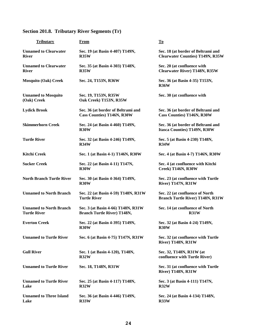| <b>Tributary</b>                                      | From                                                                     | To                                                                            |
|-------------------------------------------------------|--------------------------------------------------------------------------|-------------------------------------------------------------------------------|
| <b>Unnamed to Clearwater</b><br><b>River</b>          | Sec. 19 (at Basin 4-407) T149N,<br>R35W                                  | Sec. 18 (at border of Beltrami and<br><b>Clearwater Counties) T149N, R35W</b> |
| <b>Unnamed to Clearwater</b><br><b>River</b>          | Sec. 35 (at Basin 4-303) T148N,<br>R35W                                  | Sec. 20 (at confluence with<br><b>Clearwater River) T148N, R35W</b>           |
| <b>Mosquito (Oak) Creek</b>                           | Sec. 24, T153N, R36W                                                     | Sec. 36 (at Basin 4-35) T153N,<br><b>R36W</b>                                 |
| <b>Unnamed to Mosquito</b><br>(Oak) Creek             | Sec. 19, T153N, R35W<br>Oak Creek) T153N, R35W                           | Sec. 30 (at confluence with                                                   |
| <b>Lydick Brook</b>                                   | Sec. 36 (at border of Beltrami and<br><b>Cass Counties) T146N, R30W</b>  | Sec. 36 (at border of Beltrami and<br><b>Cass Counties) T146N, R30W</b>       |
| <b>Skimmerhorn Creek</b>                              | Sec. 24 (at Basin 4-460) T149N,<br><b>R30W</b>                           | Sec. 36 (at border of Beltrami and<br>Itasca Counties) T149N, R30W            |
| <b>Turtle River</b>                                   | Sec. 32 (at Basin 4-246) T149N,<br>R34W                                  | Sec. 5 (at Basin 4-230) T148N,<br>R34W                                        |
| <b>Kitchi Creek</b>                                   | Sec. 1 (at Basin 4-1) T146N, R30W                                        | Sec. 4 (at Basin 4-7) T146N, R30W                                             |
| <b>Sucker Creek</b>                                   | Sec. 22 (at Basin 4-11) T147N,<br>R30W                                   | Sec. 4 (at confluence with Kitchi<br>Creek) T146N, R30W                       |
| <b>North Branch Turtle River</b>                      | Sec. 30 (at Basin 4-364) T149N,<br>R30W                                  | Sec. 23 (at confluence with Turtle<br><b>River) T147N, R31W</b>               |
| <b>Unnamed to North Branch</b>                        | Sec. 22 (at Basin 4-59) T148N, R31W<br><b>Turtle River</b>               | Sec. 22 (at confluence of North<br><b>Branch Turtle River) T148N, R31W</b>    |
| <b>Unnamed to North Branch</b><br><b>Turtle River</b> | Sec. 3 (at Basin 4-66) T148N, R31W<br><b>Branch Turtle River) T148N,</b> | Sec. 14 (at confluence of North<br>R31W                                       |
| <b>Everton Creek</b>                                  | Sec. 22 (at Basin 4-395) T149N,<br><b>R30W</b>                           | Sec. 32 (at Basin 4-24) T149N,<br><b>R30W</b>                                 |
| <b>Unnamed to Turtle River</b>                        | Sec. 6 (at Basin 4-75) T147N, R31W                                       | Sec. 32 (at confluence with Turtle<br><b>River) T148N, R31W</b>               |
| <b>Gull River</b>                                     | Sec. 1 (at Basin 4-120), T148N,<br>R32W                                  | Sec. 32, T148N, R31W (at<br>confluence with Turtle River)                     |
| <b>Unnamed to Turtle River</b>                        | Sec. 18, T148N, R31W                                                     | Sec. 31 (at confluence with Turtle<br><b>River) T148N, R31W</b>               |
| <b>Unnamed to Turtle River</b><br>Lake                | Sec. 25 (at Basin 4-117) T148N,<br>R32W                                  | Sec. 3 (at Basin 4-111) T147N,<br>R32W                                        |
| <b>Unnamed to Three Island</b><br>Lake                | Sec. 36 (at Basin 4-446) T149N,<br>R33W                                  | Sec. 24 (at Basin 4-134) T148N,<br><b>R33W</b>                                |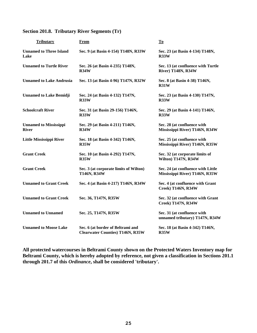| <b>Tributary</b>                              | From                                                                         | To                                                                   |  |
|-----------------------------------------------|------------------------------------------------------------------------------|----------------------------------------------------------------------|--|
| <b>Unnamed to Three Island</b><br>Lake        | Sec. 9 (at Basin 4-154) T148N, R33W                                          | Sec. 23 (at Basin 4-134) T148N,<br>R33W                              |  |
| <b>Unnamed to Turtle River</b>                | Sec. 26 (at Basin 4-235) T148N,<br>R34W                                      | Sec. 13 (at confluence with Turtle<br><b>River) T148N, R34W</b>      |  |
| <b>Unnamed to Lake Andrusia</b>               | Sec. 13 (at Basin 4-96) T147N, R32W                                          | Sec. 8 (at Basin 4-38) T146N,<br><b>R31W</b>                         |  |
| <b>Unnamed to Lake Bemidji</b>                | Sec. 24 (at Basin 4-132) T147N,<br>R33W                                      | Sec. 23 (at Basin 4-130) T147N,<br>R33W                              |  |
| <b>Schoolcraft River</b>                      | Sec. 31 (at Basin 29-156) T146N,<br>R33W                                     | Sec. 29 (at Basin 4-141) T146N,<br>R33W                              |  |
| <b>Unnamed to Mississippi</b><br><b>River</b> | Sec. 29 (at Basin 4-211) T146N,<br>R34W                                      | Sec. 28 (at confluence with<br>Mississippi River) T146N, R34W        |  |
| <b>Little Mississippi River</b>               | Sec. 18 (at Basin 4-342) T146N,<br>R35W                                      | Sec. 25 (at confluence with<br>Mississippi River) T146N, R35W        |  |
| <b>Grant Creek</b>                            | Sec. 10 (at Basin 4-292) T147N,<br>R35W                                      | Sec. 32 (at corporate limits of<br>Wilton) T147N, R34W               |  |
| <b>Grant Creek</b>                            | Sec. 3 (at corporate limits of Wilton)<br>T146N, R34W                        | Sec. 24 (at confluence with Little<br>Mississippi River) T146N, R35W |  |
| <b>Unnamed to Grant Creek</b>                 | Sec. 4 (at Basin 4-217) T146N, R34W                                          | Sec. 4 (at confluence with Grant<br>Creek) T146N, R34W               |  |
| <b>Unnamed to Grant Creek</b>                 | Sec. 36, T147N, R35W                                                         | Sec. 32 (at confluence with Grant<br>Creek) T147N, R34W              |  |
| <b>Unnamed to Unnamed</b>                     | Sec. 25, T147N, R35W                                                         | Sec. 31 (at confluence with<br>unnamed tributary) T147N, R34W        |  |
| <b>Unnamed to Moose Lake</b>                  | Sec. 6 (at border of Beltrami and<br><b>Clearwater Counties) T146N, R35W</b> | Sec. 18 (at Basin 4-342) T146N,<br><b>R35W</b>                       |  |

**All protected watercourses in Beltrami County shown on the Protected Waters Inventory map for Beltrami County, which is hereby adopted by reference, not given a classification in Sections 201.1 through 201.7 of this** *Ordinance***, shall be considered 'tributary'.**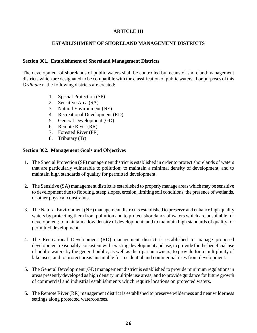## **ARTICLE III**

### **ESTABLISHMENT OF SHORELAND MANAGEMENT DISTRICTS**

#### **Section 301. Establishment of Shoreland Management Districts**

The development of shorelands of public waters shall be controlled by means of shoreland management districts which are designated to be compatible with the classification of public waters. For purposes of this *Ordinance*, the following districts are created:

- 1. Special Protection (SP)
- 2. Sensitive Area (SA)
- 3. Natural Environment (NE)
- 4. Recreational Development (RD)
- 5. General Development (GD)
- 6. Remote River (RR)
- 7. Forested River (FR)
- 8. Tributary (Tr)

#### **Section 302. Management Goals and Objectives**

- 1. The Special Protection (SP) management district is established in order to protect shorelands of waters that are particularly vulnerable to pollution; to maintain a minimal density of development, and to maintain high standards of quality for permitted development.
- 2. The Sensitive (SA) management district is established to properly manage areas which may be sensitive to development due to flooding, steep slopes, erosion, limiting soil conditions, the presence of wetlands, or other physical constraints.
- 3. The Natural Environment (NE) management district is established to preserve and enhance high quality waters by protecting them from pollution and to protect shorelands of waters which are unsuitable for development; to maintain a low density of development; and to maintain high standards of quality for permitted development.
- 4. The Recreational Development (RD) management district is established to manage proposed development reasonably consistent with existing development and use; to provide for the beneficial use of public waters by the general public, as well as the riparian owners; to provide for a multiplicity of lake uses; and to protect areas unsuitable for residential and commercial uses from development.
- 5. The General Development (GD) management district is established to provide minimum regulations in areas presently developed as high density, multiple use areas; and to provide guidance for future growth of commercial and industrial establishments which require locations on protected waters.
- 6. The Remote River (RR) management district is established to preserve wilderness and near wilderness settings along protected watercourses.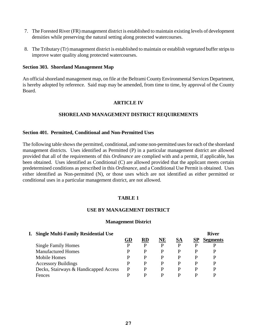- 7. The Forested River (FR) management district is established to maintain existing levels of development densities while preserving the natural setting along protected watercourses.
- 8. The Tributary (Tr) management district is established to maintain or establish vegetated buffer strips to improve water quality along protected watercourses.

#### **Section 303. Shoreland Management Map**

An official shoreland management map, on file at the Beltrami County Environmental Services Department, is hereby adopted by reference. Said map may be amended, from time to time, by approval of the County Board.

#### **ARTICLE IV**

#### **SHORELAND MANAGEMENT DISTRICT REQUIREMENTS**

#### **Section 401. Permitted, Conditional and Non-Permitted Uses**

The following table shows the permitted, conditional, and some non-permitted uses for each of the shoreland management districts. Uses identified as Permitted (P) in a particular management district are allowed provided that all of the requirements of this *Ordinance* are complied with and a permit, if applicable, has been obtained. Uses identified as Conditional (C) are allowed provided that the applicant meets certain predetermined conditions as prescribed in this *Ordinance*, and a Conditional Use Permit is obtained. Uses either identified as Non-permitted (N), or those uses which are not identified as either permitted or conditional uses in a particular management district, are not allowed.

#### **TABLE 1**

#### **USE BY MANAGEMENT DISTRICT**

#### **Management District**

| I. Single Multi-Family Residential Use |    |           |    |           |    | <b>River</b>    |
|----------------------------------------|----|-----------|----|-----------|----|-----------------|
|                                        | GD | <b>RD</b> | NE | <b>SA</b> | SP | <b>Segments</b> |
| <b>Single Family Homes</b>             | р  | р         | D  | P         | D  | p               |
| <b>Manufactured Homes</b>              | р  | р         | D  | P         | D  | p               |
| Mobile Homes                           | р  | р         | D  | P         | D  | D               |
| <b>Accessory Buildings</b>             | D  | р         |    | P         | D  | D               |
| Decks, Stairways & Handicapped Access  | р  |           |    | P         | р  | p               |
| Fences                                 |    | D         | D  | D         | D  | D               |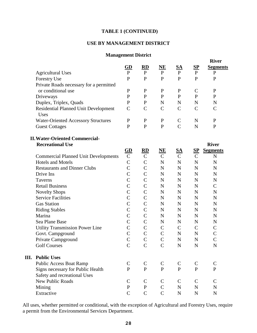# **TABLE 1 (CONTINUED)**

#### **USE BY MANAGEMENT DISTRICT**

#### **Management District**

|                                                     |                |                            |                          |                |                  | <b>River</b>    |
|-----------------------------------------------------|----------------|----------------------------|--------------------------|----------------|------------------|-----------------|
|                                                     | GD             | $\mathbf{R}$               | NE                       | <u>SA</u>      | $S_{\mathbf{P}}$ | <b>Segments</b> |
| <b>Agricultural Uses</b>                            | $\mathbf{P}$   | ${\bf P}$                  | $\mathbf{P}$             | $\mathbf{P}$   | $\mathbf{P}$     | $\mathbf{P}$    |
| Forestry Use                                        | $\mathbf{P}$   | ${\bf P}$                  | $\mathbf{P}$             | $\mathbf{P}$   | $\mathbf{P}$     | ${\bf P}$       |
| Private Roads necessary for a permitted             |                |                            |                          |                |                  |                 |
| or conditional use                                  | ${\bf P}$      | $\mathbf P$                | ${\bf P}$                | $\mathbf P$    | $\mathbf C$      | $\mathbf P$     |
| Driveways                                           | $\mathbf P$    | $\mathbf P$                | $\mathbf P$              | $\mathbf P$    | $\mathbf{P}$     | $\mathbf{P}$    |
| Duplex, Triplex, Quads                              | $\mathbf P$    | $\mathbf{P}$               | N                        | $\mathbf N$    | N                | N               |
| <b>Residential Planned Unit Development</b><br>Uses | $\mathsf{C}$   | $\mathcal{C}$              | $\mathcal{C}$            | $\mathcal{C}$  | $\mathsf{C}$     | $\mathsf{C}$    |
| <b>Water-Oriented Accessory Structures</b>          | $\mathbf P$    | $\mathbf P$                | $\mathbf P$              | $\mathcal{C}$  | $\mathbf N$      | ${\bf P}$       |
| <b>Guest Cottages</b>                               | $\mathbf P$    | ${\bf P}$                  | $\mathbf{P}$             | $\overline{C}$ | $\mathbf N$      | ${\bf P}$       |
| <b>II. Water-Oriented Commercial-</b>               |                |                            |                          |                |                  |                 |
| <b>Recreational Use</b>                             |                |                            |                          |                |                  | <b>River</b>    |
|                                                     | $rac{GD}{C}$   | $rac{\text{RD}}{\text{C}}$ | $\overline{\mathbf{NE}}$ | <u>SA</u>      | $S_{1}P$         | <b>Segments</b> |
| <b>Commercial Planned Unit Developments</b>         |                |                            | $\overline{C}$           | $\mathbf C$    | $\mathcal{C}$    | $\mathbf N$     |
| <b>Hotels and Motels</b>                            | $\overline{C}$ | $\mathcal{C}$              | ${\bf N}$                | ${\bf N}$      | $\mathbf N$      | $\mathbf N$     |
| <b>Restaurants and Dinner Clubs</b>                 | $\overline{C}$ | $\mathsf{C}$               | $\mathbf N$              | $\mathbf N$    | ${\bf N}$        | $\mathbf N$     |
| Drive Ins                                           | $\overline{C}$ | $\overline{C}$             | $\mathbf N$              | $\mathbf N$    | $\mathbf N$      | $\mathbf N$     |
| <b>Taverns</b>                                      | $\mathcal{C}$  | $\mathcal{C}$              | $\mathbf N$              | ${\bf N}$      | ${\bf N}$        | $\mathbf N$     |
| <b>Retail Business</b>                              | $\mathcal{C}$  | $\mathcal{C}$              | $\mathbf N$              | ${\bf N}$      | $\mathbf N$      | $\mathbf C$     |
| <b>Novelty Shops</b>                                | $\mathcal{C}$  | $\mathcal{C}$              | $\mathbf N$              | $\mathbf N$    | $\mathbf N$      | $\mathbf N$     |
| <b>Service Facilities</b>                           | $\mathsf{C}$   | $\mathcal{C}$              | $\mathbf N$              | $\mathbf N$    | $\mathbf N$      | $\mathbf N$     |
| <b>Gas Station</b>                                  | $\overline{C}$ | $\mathcal{C}$              | $\mathbf N$              | ${\bf N}$      | $\mathbf N$      | $\mathbf N$     |
| <b>Riding Stables</b>                               | $\overline{C}$ | $\mathcal{C}$              | $\mathbf N$              | ${\bf N}$      | N                | $\mathbf N$     |
| Marina                                              | $\mathcal{C}$  | $\mathcal{C}$              | $\mathbf N$              | $\mathbf N$    | $\mathbf N$      | $\mathbf N$     |
| Sea Plane Base                                      | $\mathcal{C}$  | $\mathcal{C}$              | N                        | $\mathbf N$    | N                | N               |
| <b>Utility Transmission Power Line</b>              | $\mathcal{C}$  | $\mathbf C$                | $\mathcal{C}$            | $\mathbf C$    | $\mathsf{C}$     | $\mathbf C$     |
| Govt. Campground                                    | $\mathsf{C}$   | $\mathsf{C}$               | $\mathsf{C}$             | ${\bf N}$      | ${\bf N}$        | $\mathbf C$     |
| Private Campground                                  | $\overline{C}$ | $\overline{C}$             | $\overline{C}$           | $\mathbf N$    | $\mathbf N$      | $\overline{C}$  |
| <b>Golf Courses</b>                                 | $\mathcal{C}$  | $\mathcal{C}$              | $\mathcal{C}$            | $\mathbf N$    | $\mathbf N$      | ${\bf N}$       |
| <b>III.</b> Public Uses                             |                |                            |                          |                |                  |                 |
| <b>Public Access Boat Ramp</b>                      | $\mathsf{C}$   | $\mathsf{C}$               | $\mathsf{C}$             | $\mathsf{C}$   | $\mathsf{C}$     | $\mathbf C$     |
| Signs necessary for Public Health                   | $\mathbf{P}$   | $\mathbf{P}$               | $\mathbf{P}$             | $\mathbf{P}$   | $\mathbf{P}$     | $\mathbf{P}$    |
| Safety and recreational Uses                        |                |                            |                          |                |                  |                 |
| <b>New Public Roads</b>                             | $\mathsf{C}$   | $\mathsf{C}$               | $\mathsf{C}$             | $\mathsf{C}$   | $\mathsf{C}$     | $\mathsf{C}$    |
| Mining                                              | ${\bf P}$      | ${\bf P}$                  | $\mathsf{C}$             | ${\bf N}$      | ${\bf N}$        | $\mathbf N$     |
| Extractive                                          | $\overline{C}$ | $\mathcal{C}$              | $\mathcal{C}$            | ${\bf N}$      | ${\bf N}$        | ${\bf N}$       |

All uses, whether permitted or conditional, with the exception of Agricultural and Forestry Uses, require a permit from the Environmental Services Department.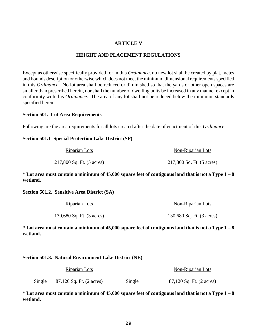#### **ARTICLE V**

#### **HEIGHT AND PLACEMENT REGULATIONS**

Except as otherwise specifically provided for in this *Ordinance*, no new lot shall be created by plat, metes and bounds description or otherwise which does not meet the minimum dimensional requirements specified in this *Ordinance*. No lot area shall be reduced or diminished so that the yards or other open spaces are smaller than prescribed herein, nor shall the number of dwelling units be increased in any manner except in conformity with this *Ordinance*. The area of any lot shall not be reduced below the minimum standards specified herein.

#### **Section 501. Lot Area Requirements**

Following are the area requirements for all lots created after the date of enactment of this *Ordinance*.

#### **Section 501.1 Special Protection Lake District (SP)**

| Riparian Lots             | Non-Riparian Lots         |
|---------------------------|---------------------------|
| 217,800 Sq. Ft. (5 acres) | 217,800 Sq. Ft. (5 acres) |

**\* Lot area must contain a minimum of 45,000 square feet of contiguous land that is not a Type 1 – 8 wetland.**

**Section 501.2. Sensitive Area District (SA)**

| Riparian Lots             | Non-Riparian Lots         |
|---------------------------|---------------------------|
| 130,680 Sq. Ft. (3 acres) | 130,680 Sq. Ft. (3 acres) |

**\* Lot area must contain a minimum of 45,000 square feet of contiguous land that is not a Type 1 – 8 wetland.**

#### **Section 501.3. Natural Environment Lake District (NE)**

| Riparian Lots |                          |        | Non-Riparian Lots        |
|---------------|--------------------------|--------|--------------------------|
| Single        | 87,120 Sq. Ft. (2 acres) | Single | 87,120 Sq. Ft. (2 acres) |

**\* Lot area must contain a minimum of 45,000 square feet of contiguous land that is not a Type 1 – 8 wetland.**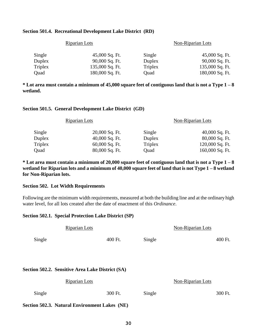#### **Section 501.4. Recreational Development Lake District (RD)**

|                | <b>Riparian Lots</b> | Non-Riparian Lots |                 |  |
|----------------|----------------------|-------------------|-----------------|--|
| Single         | 45,000 Sq. Ft.       | Single            | 45,000 Sq. Ft.  |  |
| Duplex         | 90,000 Sq. Ft.       | Duplex            | 90,000 Sq. Ft.  |  |
| <b>Triplex</b> | 135,000 Sq. Ft.      | Triplex           | 135,000 Sq. Ft. |  |
| Quad           | 180,000 Sq. Ft.      | Ouad              | 180,000 Sq. Ft. |  |

**\* Lot area must contain a minimum of 45,000 square feet of contiguous land that is not a Type 1 – 8 wetland.**

#### **Section 501.5. General Development Lake District (GD)**

|                | <b>Riparian Lots</b> | <b>Non-Riparian Lots</b> |                 |  |
|----------------|----------------------|--------------------------|-----------------|--|
| Single         | 20,000 Sq. Ft.       | Single                   | 40,000 Sq. Ft.  |  |
| Duplex         | 40,000 Sq. Ft.       | Duplex                   | 80,000 Sq. Ft.  |  |
| <b>Triplex</b> | 60,000 Sq. Ft.       | <b>Triplex</b>           | 120,000 Sq. Ft. |  |
| Quad           | 80,000 Sq. Ft.       | Quad                     | 160,000 Sq. Ft. |  |

**\* Lot area must contain a minimum of 20,000 square feet of contiguous land that is not a Type 1 – 8 wetland for Riparian lots and a minimum of 40,000 square feet of land that is not Type 1 – 8 wetland for Non-Riparian lots.**

#### **Section 502. Lot Width Requirements**

Following are the minimum width requirements, measured at both the building line and at the ordinary high water level, for all lots created after the date of enactment of this *Ordinance*.

#### **Section 502.1. Special Protection Lake District (SP)**

|        | Riparian Lots                                    |         |        | Non-Riparian Lots |         |
|--------|--------------------------------------------------|---------|--------|-------------------|---------|
| Single |                                                  | 400 Ft. | Single |                   | 400 Ft. |
|        |                                                  |         |        |                   |         |
|        | Section 502.2. Sensitive Area Lake District (SA) |         |        |                   |         |
|        | <b>Riparian Lots</b>                             |         |        | Non-Riparian Lots |         |
| Single |                                                  | 300 Ft. | Single |                   | 300 Ft. |
|        | Section 502.3. Natural Environment Lakes (NE)    |         |        |                   |         |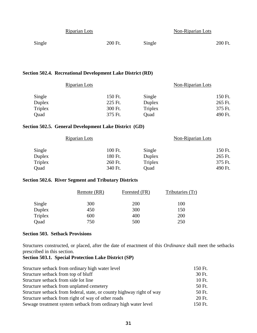|        | Riparian Lots |         |        | Non-Riparian Lots |         |
|--------|---------------|---------|--------|-------------------|---------|
| Single |               | 200 Ft. | Single |                   | 200 Ft. |

#### **Section 502.4. Recreational Development Lake District (RD)**

| Riparian Lots |         |                | Non-Riparian Lots |         |
|---------------|---------|----------------|-------------------|---------|
| Single        | 150 Ft. | Single         |                   | 150 Ft. |
| Duplex        | 225 Ft. | Duplex         |                   | 265 Ft. |
| Triplex       | 300 Ft. | <b>Triplex</b> |                   | 375 Ft. |
| Quad          | 375 Ft. | Quad           |                   | 490 Ft. |
|               |         |                |                   |         |

#### **Section 502.5. General Development Lake District (GD)**

|         | <b>Riparian Lots</b> |         |         | Non-Riparian Lots |         |
|---------|----------------------|---------|---------|-------------------|---------|
| Single  |                      | 100 Ft. | Single  |                   | 150 Ft. |
| Duplex  |                      | 180 Ft. | Duplex  |                   | 265 Ft. |
| Triplex |                      | 260 Ft. | Triplex |                   | 375 Ft. |
| Quad    |                      | 340 Ft. | Ouad    |                   | 490 Ft. |

## **Section 502.6. River Segment and Tributary Districts**

|         | Remote (RR) | Forested (FR) | Tributaries (Tr) |
|---------|-------------|---------------|------------------|
| Single  | 300         | <b>200</b>    | 100              |
| Duplex  | 450         | 300           | 150              |
| Triplex | 600         | 400           | 200              |
| Quad    | 750         | 500           | 250              |

#### **Section 503. Setback Provisions**

Structures constructed, or placed, after the date of enactment of this *Ordinance* shall meet the setbacks prescribed in this section.

# **Section 503.1. Special Protection Lake District (SP)**

| Structure setback from ordinary high water level                      | 150 Ft. |
|-----------------------------------------------------------------------|---------|
| Structure setback from top of bluff                                   | 30 Ft.  |
| Structure setback from side lot line                                  | 10 Ft.  |
| Structure setback from unplatted cemetery                             | 50 Ft.  |
| Structure setback from federal, state, or county highway right of way | 50 Ft.  |
| Structure setback from right of way of other roads                    | 20 Ft.  |
| Sewage treatment system setback from ordinary high water level        | 150 Ft. |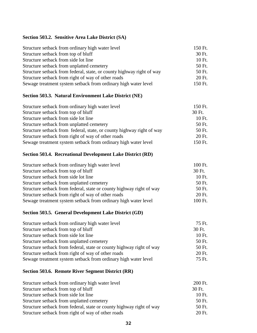## **Section 503.2. Sensitive Area Lake District (SA)**

| Structure setback from ordinary high water level                      | 150 Ft. |
|-----------------------------------------------------------------------|---------|
| Structure setback from top of bluff                                   | 30 Ft.  |
| Structure setback from side lot line                                  | 10 Ft.  |
| Structure setback from unplatted cemetery                             | 50 Ft.  |
| Structure setback from federal, state, or county highway right of way | 50 Ft.  |
| Structure setback from right of way of other roads                    | 20 Ft.  |
| Sewage treatment system setback from ordinary high water level        | 150 Ft. |
|                                                                       |         |

# **Section 503.3. Natural Environment Lake District (NE)**

| Structure setback from ordinary high water level                      | 150 Ft. |
|-----------------------------------------------------------------------|---------|
| Structure setback from top of bluff                                   | 30 Ft.  |
| Structure setback from side lot line                                  | 10 Ft.  |
| Structure setback from unplatted cemetery                             | 50 Ft.  |
| Structure setback from federal, state, or county highway right of way | 50 Ft.  |
| Structure setback from right of way of other roads                    | 20 Ft.  |
| Sewage treatment system setback from ordinary high water level        | 150 Ft. |
|                                                                       |         |

# **Section 503.4. Recreational Development Lake District (RD)**

| 100 Ft. |
|---------|
| 30 Ft.  |
| 10 Ft.  |
| 50 Ft.  |
| 50 Ft.  |
| 20 Ft.  |
| 100 Ft. |
|         |

#### **Section 503.5. General Development Lake District (GD)**

| 75 Ft. |
|--------|
| 30 Ft. |
| 10 Ft. |
| 50 Ft. |
| 50 Ft. |
| 20 Ft. |
| 75 Ft. |
|        |

# **Section 503.6. Remote River Segment District (RR)**

| Structure setback from ordinary high water level                     | 200 Ft. |
|----------------------------------------------------------------------|---------|
| Structure setback from top of bluff                                  | 30 Ft.  |
| Structure setback from side lot line                                 | 10 Ft.  |
| Structure setback from unplatted cemetery                            | 50 Ft.  |
| Structure setback from federal, state or county highway right of way | 50 Ft.  |
| Structure setback from right of way of other roads                   | 20 Ft.  |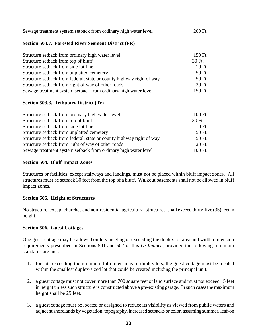| Sewage treatment system setback from ordinary high water level | 200 Ft. |
|----------------------------------------------------------------|---------|
|----------------------------------------------------------------|---------|

### **Section 503.7. Forested River Segment District (FR)**

| Structure setback from ordinary high water level                     | 150 Ft. |
|----------------------------------------------------------------------|---------|
| Structure setback from top of bluff                                  | 30 Ft.  |
| Structure setback from side lot line                                 | 10 Ft.  |
| Structure setback from unplatted cemetery                            | 50 Ft.  |
| Structure setback from federal, state or county highway right of way | 50 Ft.  |
| Structure setback from right of way of other roads                   | 20 Ft.  |
| Sewage treatment system setback from ordinary high water level       | 150 Ft. |

## **Section 503.8. Tributary District (Tr)**

| Structure setback from ordinary high water level                     | 100 Ft. |
|----------------------------------------------------------------------|---------|
| Structure setback from top of bluff                                  | 30 Ft.  |
| Structure setback from side lot line                                 | 10 Ft.  |
| Structure setback from unplatted cemetery                            | 50 Ft.  |
| Structure setback from federal, state or county highway right of way | 50 Ft.  |
| Structure setback from right of way of other roads                   | 20 Ft.  |
| Sewage treatment system setback from ordinary high water level       | 100 Ft. |

### **Section 504. Bluff Impact Zones**

Structures or facilities, except stairways and landings, must not be placed within bluff impact zones. All structures must be setback 30 feet from the top of a bluff. Walkout basements shall not be allowed in bluff impact zones.

## **Section 505. Height of Structures**

No structure, except churches and non-residential agricultural structures, shall exceed thirty-five (35) feet in height.

#### **Section 506. Guest Cottages**

One guest cottage may be allowed on lots meeting or exceeding the duplex lot area and width dimension requirements prescribed in Sections 501 and 502 of this *Ordinance*, provided the following minimum standards are met:

- 1. for lots exceeding the minimum lot dimensions of duplex lots, the guest cottage must be located within the smallest duplex-sized lot that could be created including the principal unit.
- 2. a guest cottage must not cover more than 700 square feet of land surface and must not exceed 15 feet in height unless such structure is constructed above a pre-existing garage. In such cases the maximum height shall be 25 feet.
- 3. a guest cottage must be located or designed to reduce its visibility as viewed from public waters and adjacent shorelands by vegetation, topography, increased setbacks or color, assuming summer, leaf-on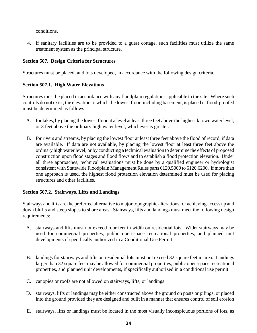conditions.

4. if sanitary facilities are to be provided to a guest cottage, such facilities must utilize the same treatment system as the principal structure.

# **Section 507. Design Criteria for Structures**

Structures must be placed, and lots developed, in accordance with the following design criteria.

## **Section 507.1. High Water Elevations**

Structures must be placed in accordance with any floodplain regulations applicable to the site. Where such controls do not exist, the elevation to which the lowest floor, including basement, is placed or flood-proofed must be determined as follows:

- A. for lakes, by placing the lowest floor at a level at least three feet above the highest known water level; or 3 feet above the ordinary high water level, whichever is greater.
- B. for rivers and streams, by placing the lowest floor at least three feet above the flood of record, if data are available. If data are not available, by placing the lowest floor at least three feet above the ordinary high water level, or by conducting a technical evaluation to determine the effects of proposed construction upon flood stages and flood flows and to establish a flood protection elevation. Under all three approaches, technical evaluations must be done by a qualified engineer or hydrologist consistent with Statewide Floodplain Management Rules parts 6120.5000 to 6120.6200. If more than one approach is used, the highest flood protection elevation determined must be used for placing structures and other facilities.

# **Section 507.2. Stairways, Lifts and Landings**

Stairways and lifts are the preferred alternative to major topographic alterations for achieving access up and down bluffs and steep slopes to shore areas. Stairways, lifts and landings must meet the following design requirements:

- A. stairways and lifts must not exceed four feet in width on residential lots. Wider stairways may be used for commercial properties, public open-space recreational properties, and planned unit developments if specifically authorized in a Conditional Use Permit.
- B. landings for stairways and lifts on residential lots must not exceed 32 square feet in area. Landings larger than 32 square feet may be allowed for commercial properties, public open-space recreational properties, and planned unit developments, if specifically authorized in a conditional use permit
- C. canopies or roofs are not allowed on stairways, lifts, or landings
- D. stairways, lifts or landings may be either constructed above the ground on posts or pilings, or placed into the ground provided they are designed and built in a manner that ensures control of soil erosion
- E. stairways, lifts or landings must be located in the most visually inconspicuous portions of lots, as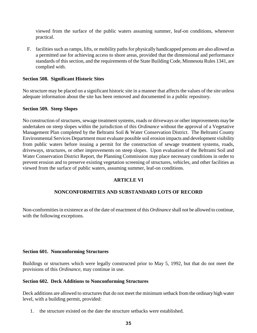viewed from the surface of the public waters assuming summer, leaf-on conditions, whenever practical.

F. facilities such as ramps, lifts, or mobility paths for physically handicapped persons are also allowed as a permitted use for achieving access to shore areas, provided that the dimensional and performance standards of this section, and the requirements of the State Building Code, Minnesota Rules 1341, are complied with.

### **Section 508. Significant Historic Sites**

No structure may be placed on a significant historic site in a manner that affects the values of the site unless adequate information about the site has been removed and documented in a public repository.

#### **Section 509. Steep Slopes**

No construction of structures, sewage treatment systems, roads or driveways or other improvements may be undertaken on steep slopes within the jurisdiction of this *Ordinance* without the approval of a Vegetative Management Plan completed by the Beltrami Soil & Water Conservation District. The Beltrami County Environmental Services Department must evaluate possible soil erosion impacts and development visibility from public waters before issuing a permit for the construction of sewage treatment systems, roads, driveways, structures, or other improvements on steep slopes. Upon evaluation of the Beltrami Soil and Water Conservation District Report, the Planning Commission may place necessary conditions in order to prevent erosion and to preserve existing vegetation screening of structures, vehicles, and other facilities as viewed from the surface of public waters, assuming summer, leaf-on conditions.

## **ARTICLE VI**

#### **NONCONFORMITIES AND SUBSTANDARD LOTS OF RECORD**

Non-conformities in existence as of the date of enactment of this *Ordinance* shall not be allowed to continue, with the following exceptions.

#### **Section 601. Nonconforming Structures**

Buildings or structures which were legally constructed prior to May 5, 1992, but that do not meet the provisions of this *Ordinance*, may continue in use.

#### **Section 602. Deck Additions to Nonconforming Structures**

Deck additions are allowed to structures that do not meet the minimum setback from the ordinary high water level, with a building permit, provided:

1. the structure existed on the date the structure setbacks were established.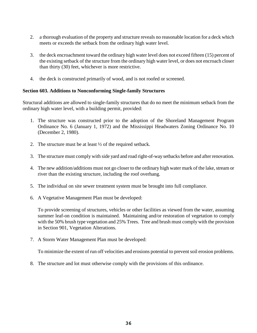- 2. a thorough evaluation of the property and structure reveals no reasonable location for a deck which meets or exceeds the setback from the ordinary high water level.
- 3. the deck encroachment toward the ordinary high water level does not exceed fifteen (15) percent of the existing setback of the structure from the ordinary high water level, or does not encroach closer than thirty (30) feet, whichever is more restrictive.
- 4. the deck is constructed primarily of wood, and is not roofed or screened.

### **Section 603. Additions to Nonconforming Single-family Structures**

Structural additions are allowed to single-family structures that do no meet the minimum setback from the ordinary high water level, with a building permit, provided:

- 1. The structure was constructed prior to the adoption of the Shoreland Management Program Ordinance No. 6 (January 1, 1972) and the Mississippi Headwaters Zoning Ordinance No. 10 (December 2, 1980).
- 2. The structure must be at least ½ of the required setback.
- 3. The structure must comply with side yard and road right-of-way setbacks before and after renovation.
- 4. The new addition/additions must not go closer to the ordinary high water mark of the lake, stream or river than the existing structure, including the roof overhang.
- 5. The individual on site sewer treatment system must be brought into full compliance.
- 6. A Vegetative Management Plan must be developed:

To provide screening of structures, vehicles or other facilities as viewed from the water, assuming summer leaf-on condition is maintained. Maintaining and/or restoration of vegetation to comply with the 50% brush type vegetation and 25% Trees. Tree and brush must comply with the provision in Section 901, Vegetation Alterations.

7. A Storm Water Management Plan must be developed:

To minimize the extent of run off velocities and erosions potential to prevent soil erosion problems.

8. The structure and lot must otherwise comply with the provisions of this ordinance.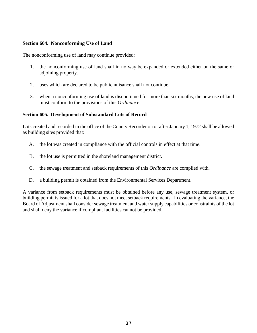### **Section 604. Nonconforming Use of Land**

The nonconforming use of land may continue provided:

- 1. the nonconforming use of land shall in no way be expanded or extended either on the same or adjoining property.
- 2. uses which are declared to be public nuisance shall not continue.
- 3. when a nonconforming use of land is discontinued for more than six months, the new use of land must conform to the provisions of this *Ordinance*.

### **Section 605. Development of Substandard Lots of Record**

Lots created and recorded in the office of the County Recorder on or after January 1, 1972 shall be allowed as building sites provided that:

- A. the lot was created in compliance with the official controls in effect at that time.
- B. the lot use is permitted in the shoreland management district.
- C. the sewage treatment and setback requirements of this *Ordinance* are complied with.
- D. a building permit is obtained from the Environmental Services Department.

A variance from setback requirements must be obtained before any use, sewage treatment system, or building permit is issued for a lot that does not meet setback requirements. In evaluating the variance, the Board of Adjustment shall consider sewage treatment and water supply capabilities or constraints of the lot and shall deny the variance if compliant facilities cannot be provided.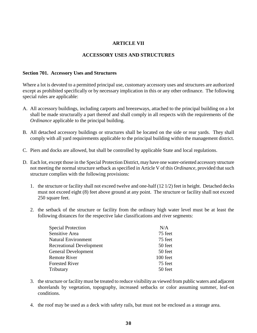## **ARTICLE VII**

## **ACCESSORY USES AND STRUCTURES**

#### **Section 701. Accessory Uses and Structures**

Where a lot is devoted to a permitted principal use, customary accessory uses and structures are authorized except as prohibited specifically or by necessary implication in this or any other ordinance. The following special rules are applicable:

- A. All accessory buildings, including carports and breezeways, attached to the principal building on a lot shall be made structurally a part thereof and shall comply in all respects with the requirements of the *Ordinance* applicable to the principal building.
- B. All detached accessory buildings or structures shall be located on the side or rear yards. They shall comply with all yard requirements applicable to the principal building within the management district.
- C. Piers and docks are allowed, but shall be controlled by applicable State and local regulations.
- D. Each lot, except those in the Special Protection District, may have one water-oriented accessory structure not meeting the normal structure setback as specified in Article V of this *Ordinance*, provided that such structure complies with the following provisions:
	- 1. the structure or facility shall not exceed twelve and one-half (12 1/2) feet in height. Detached decks must not exceed eight (8) feet above ground at any point. The structure or facility shall not exceed 250 square feet.
	- 2. the setback of the structure or facility from the ordinary high water level must be at least the following distances for the respective lake classifications and river segments:

| <b>Special Protection</b>       | N/A      |
|---------------------------------|----------|
| Sensitive Area                  | 75 feet  |
| <b>Natural Environment</b>      | 75 feet  |
| <b>Recreational Development</b> | 50 feet  |
| <b>General Development</b>      | 50 feet  |
| <b>Remote River</b>             | 100 feet |
| <b>Forested River</b>           | 75 feet  |
| Tributary                       | 50 feet  |

- 3. the structure or facility must be treated to reduce visibility as viewed from public waters and adjacent shorelands by vegetation, topography, increased setbacks or color assuming summer, leaf-on conditions.
- 4. the roof may be used as a deck with safety rails, but must not be enclosed as a storage area.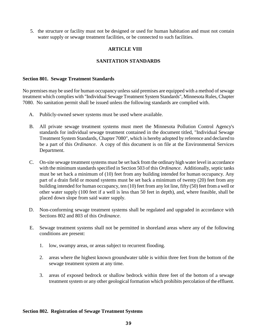5. the structure or facility must not be designed or used for human habitation and must not contain water supply or sewage treatment facilities, or be connected to such facilities.

## **ARTICLE VIII**

## **SANITATION STANDARDS**

#### **Section 801. Sewage Treatment Standards**

No premises may be used for human occupancy unless said premises are equipped with a method of sewage treatment which complies with "Individual Sewage Treatment System Standards", Minnesota Rules, Chapter 7080. No sanitation permit shall be issued unless the following standards are complied with.

- A. Publicly-owned sewer systems must be used where available.
- B. All private sewage treatment systems must meet the Minnesota Pollution Control Agency's standards for individual sewage treatment contained in the document titled, "Individual Sewage Treatment System Standards, Chapter 7080", which is hereby adopted by reference and declared to be a part of this *Ordinance*. A copy of this document is on file at the Environmental Services Department.
- C. On-site sewage treatment systems must be set back from the ordinary high water level in accordance with the minimum standards specified in Section 503 of this *Ordinance*. Additionally, septic tanks must be set back a minimum of (10) feet from any building intended for human occupancy. Any part of a drain field or mound systems must be set back a minimum of twenty (20) feet from any building intended for human occupancy, ten (10) feet from any lot line, fifty (50) feet from a well or other water supply (100 feet if a well is less than 50 feet in depth), and, where feasible, shall be placed down slope from said water supply.
- D. Non-conforming sewage treatment systems shall be regulated and upgraded in accordance with Sections 802 and 803 of this *Ordinance*.
- E. Sewage treatment systems shall not be permitted in shoreland areas where any of the following conditions are present:
	- 1. low, swampy areas, or areas subject to recurrent flooding.
	- 2. areas where the highest known groundwater table is within three feet from the bottom of the sewage treatment system at any time.
	- 3. areas of exposed bedrock or shallow bedrock within three feet of the bottom of a sewage treatment system or any other geological formation which prohibits percolation of the effluent.

#### **Section 802. Registration of Sewage Treatment Systems**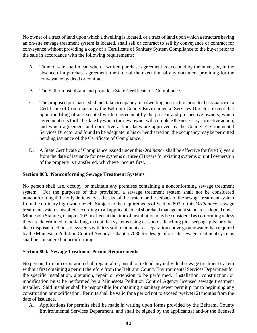No owner of a tract of land upon which a dwelling is located, or a tract of land upon which a structure having an on-site sewage treatment system is located, shall sell or contract to sell by conveyance or contract for conveyance without providing a copy of a Certificate of Sanitary System Compliance to the buyer prior to the sale in accordance with the following requirements:

- A. Time of sale shall mean when a written purchase agreement is executed by the buyer, or, in the absence of a purchase agreement, the time of the execution of any document providing for the conveyance by deed or contract.
- B. The Seller must obtain and provide a State Certificate of Compliance.
- C. The proposed purchaser shall not take occupancy of a dwelling or structure prior to the issuance of a Certificate of Compliance by the Beltrami County Environmental Services Director, except that upon the filing of an executed written agreement by the present and prospective owners, which agreement sets forth the date by which the new owner will complete the necessary corrective action, and which agreement and corrective action dates are approved by the County Environmental Services Director and found to be adequate in his or her discretion, the occupancy may be permitted pending issuance of the Certificate of Compliance.
- D. A State Certificate of Compliance issued under this *Ordinance* shall be effective for five (5) years from the date of issuance for new systems or three (3) years for existing systems or until ownership of the property is transferred, whichever occurs first.

## **Section 803. Nonconforming Sewage Treatment Systems**

No person shall use, occupy, or maintain any premises containing a nonconforming sewage treatment system. For the purposes of this provision, a sewage treatment system shall not be considered nonconforming if the only deficiency is the size of the system or the setback of the sewage treatment system from the ordinary high water level. Subject to the requirements of Section 802 of this *Ordinance*, sewage treatment systems installed according to all applicable local shoreland management standards adopted under Minnesota Statutes, Chapter 103 in effect at the time of installation may be considered as conforming unless they are determined to be failing, except that systems using cesspools, leaching pits, seepage pits, or other deep disposal methods, or systems with less soil treatment area separation above groundwater than required by the Minnesota Pollution Control Agency's Chapter 7080 for design of on-site sewage treatment systems shall be considered nonconforming.

## **Section 804. Sewage Treatment Permit Requirements**

No person, firm or corporation shall repair, alter, install or extend any individual sewage treatment system without first obtaining a permit therefore from the Beltrami County Environmental Services Department for the specific installation, alteration, repair or extension to be performed. Installation, construction, or modification must be performed by a Minnesota Pollution Control Agency licensed sewage treatment installer. Said installer shall be responsible for obtaining a sanitary sewer permit prior to beginning any construction or modification. Permits shall be valid for a period not to exceed twelve(12) months from the date of issuance.

A. Applications for permits shall be made in writing upon forms provided by the Beltrami County Environmental Services Department, and shall be signed by the applicant(s) and/or the licensed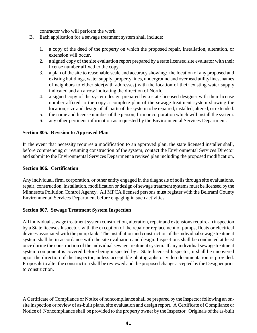contractor who will perform the work.

- B. Each application for a sewage treatment system shall include:
	- 1. a copy of the deed of the property on which the proposed repair, installation, alteration, or extension will occur.
	- 2. a signed copy of the site evaluation report prepared by a state licensed site evaluator with their license number affixed to the copy.
	- 3. a plan of the site to reasonable scale and accuracy showing: the location of any proposed and existing buildings, water supply, property lines, underground and overhead utility lines, names of neighbors to either side(with addresses) with the location of their existing water supply indicated and an arrow indicating the direction of North.
	- 4. a signed copy of the system design prepared by a state licensed designer with their license number affixed to the copy a complete plan of the sewage treatment system showing the location, size and design of all parts of the system to be repaired, installed, altered, or extended.
	- 5. the name and license number of the person, firm or corporation which will install the system.
	- 6. any other pertinent information as requested by the Environmental Services Department.

#### **Section 805. Revision to Approved Plan**

In the event that necessity requires a modification to an approved plan, the state licensed installer shall, before commencing or resuming construction of the system, contact the Environmental Services Director and submit to the Environmental Services Department a revised plan including the proposed modification.

#### **Section 806. Certification**

Any individual, firm, corporation, or other entity engaged in the diagnosis of soils through site evaluations, repair, construction, installation, modification or design of sewage treatment systems must be licensed by the Minnesota Pollution Control Agency. All MPCA licensed persons must register with the Beltrami County Environmental Services Department before engaging in such activities.

#### **Section 807. Sewage Treatment System Inspection**

All individual sewage treatment system construction, alteration, repair and extensions require an inspection by a State licenses Inspector, with the exception of the repair or replacement of pumps, floats or electrical devices associated with the pump tank. The installation and construction of the individual sewage treatment system shall be in accordance with the site evaluation and design. Inspections shall be conducted at least once during the construction of the individual sewage treatment system. If any individual sewage treatment system component is covered before being inspected by a State licensed Inspector, it shall be uncovered upon the direction of the Inspector, unless acceptable photographs or video documentation is provided. Proposals to alter the construction shall be reviewed and the proposed change accepted by the Designer prior to construction.

A Certificate of Compliance or Notice of noncompliance shall be prepared by the Inspector following an onsite inspection or review of as-built plans, site evaluation and design report. A Certificate of Compliance or Notice of Noncompliance shall be provided to the property owner by the Inspector. Originals of the as-built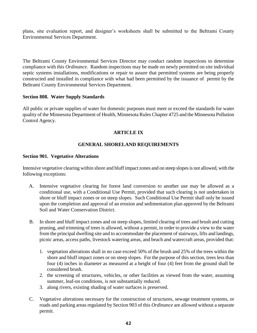plans, site evaluation report, and designer's worksheets shall be submitted to the Beltrami County Environmental Services Department.

The Beltrami County Environmental Services Director may conduct random inspections to determine compliance with this *Ordinance*. Random inspections may be made on newly permitted on site individual septic systems installations, modifications or repair to assure that permitted systems are being properly constructed and installed in compliance with what had been permitted by the issuance of permit by the Beltrami County Environmental Services Department.

### **Section 808. Water Supply Standards**

All public or private supplies of water for domestic purposes must meet or exceed the standards for water quality of the Minnesota Department of Health, Minnesota Rules Chapter 4725 and the Minnesota Pollution Control Agency.

## **ARTICLE IX**

## **GENERAL SHORELAND REQUIREMENTS**

#### **Section 901. Vegetative Alterations**

Intensive vegetative clearing within shore and bluff impact zones and on steep slopes is not allowed, with the following exceptions:

- A. Intensive vegetative clearing for forest land conversion to another use may be allowed as a conditional use, with a Conditional Use Permit, provided that such clearing is not undertaken in shore or bluff impact zones or on steep slopes. Such Conditional Use Permit shall only be issued upon the completion and approval of an erosion and sedimentation plan approved by the Beltrami Soil and Water Conservation District.
- B. In shore and bluff impact zones and on steep slopes, limited clearing of trees and brush and cutting pruning, and trimming of trees is allowed, without a permit, in order to provide a view to the water from the principal dwelling site and to accommodate the placement of stairways, lifts and landings, picnic areas, access paths, livestock watering areas, and beach and watercraft areas, provided that:
	- 1. vegetation alterations shall in no case exceed 50% of the brush and 25% of the trees within the shore and bluff impact zones or on steep slopes. For the purpose of this section, trees less than four (4) inches in diameter as measured at a height of four (4) feet from the ground shall be considered brush.
	- 2. the screening of structures, vehicles, or other facilities as viewed from the water, assuming summer, leaf-on conditions, is not substantially reduced.
	- 3. along rivers, existing shading of water surfaces is preserved.
- C. Vegetative alterations necessary for the construction of structures, sewage treatment systems, or roads and parking areas regulated by Section 903 of this *Ordinance* are allowed without a separate permit.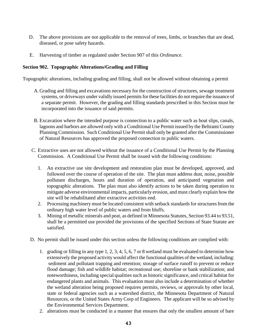- D. The above provisions are not applicable to the removal of trees, limbs, or branches that are dead, diseased, or pose safety hazards.
- E. Harvesting of timber as regulated under Section 907 of this *Ordinance*.

### **Section 902. Topographic Alterations/Grading and Filling**

Topographic alterations, including grading and filling, shall not be allowed without obtaining a permit

- A. Grading and filling and excavations necessary for the construction of structures, sewage treatment systems, or driveways under validly issued permits for these facilities do not require the issuance of a separate permit. However, the grading and filling standards prescribed in this Section must be incorporated into the issuance of said permits.
- B. Excavation where the intended purpose is connection to a public water such as boat slips, canals, lagoons and harbors are allowed only with a Conditional Use Permit issued by the Beltrami County Planning Commission. Such Conditional Use Permit shall only be granted after the Commissioner of Natural Resources has approved the proposed connection to public waters.
- C. Extractive uses are not allowed without the issuance of a Conditional Use Permit by the Planning Commission. A Conditional Use Permit shall be issued with the following conditions:
	- 1. An extractive use site development and restoration plan must be developed, approved, and followed over the course of operation of the site. The plan must address dust, noise, possible pollutant discharges, hours and duration of operation, and anticipated vegetation and topographic alterations. The plan must also identify actions to be taken during operation to mitigate adverse environmental impacts, particularly erosion, and must clearly explain how the site will be rehabilitated after extractive activities end.
	- 2. Processing machinery must be located consistent with setback standards for structures from the ordinary high water level of public waters and from bluffs.
	- 3. Mining of metallic minerals and peat, as defined in Minnesota Statutes, Section 93.44 to 93.51, shall be a permitted use provided the provisions of the specified Sections of State Statute are satisfied.
- D. No permit shall be issued under this section unless the following conditions are complied with:
	- 1. grading or filling in any type 1, 2, 3, 4, 5, 6, 7 or 8 wetland must be evaluated to determine how extensively the proposed activity would affect the functional qualities of the wetland, including: sediment and pollutant trapping and retention; storage of surface runoff to prevent or reduce flood damage; fish and wildlife habitat; recreational use; shoreline or bank stabilization; and noteworthiness, including special qualities such as historic significance, and critical habitat for endangered plants and animals. This evaluation must also include a determination of whether the wetland alteration being proposed requires permits, reviews, or approvals by other local, state or federal agencies such as a watershed district, the Minnesota Department of Natural Resources, or the United States Army Corp of Engineers. The applicant will be so advised by the Environmental Services Department.
	- 2. alterations must be conducted in a manner that ensures that only the smallest amount of bare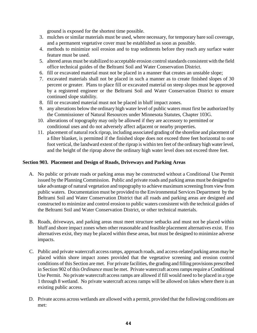ground is exposed for the shortest time possible.

- 3. mulches or similar materials must be used, where necessary, for temporary bare soil coverage, and a permanent vegetative cover must be established as soon as possible.
- 4. methods to minimize soil erosion and to trap sediments before they reach any surface water feature must be used.
- 5. altered areas must be stabilized to acceptable erosion control standards consistent with the field office technical guides of the Beltrami Soil and Water Conservation District.
- 6. fill or excavated material must not be placed in a manner that creates an unstable slope;
- 7. excavated materials shall not be placed in such a manner as to create finished slopes of 30 percent or greater. Plans to place fill or excavated material on steep slopes must be approved by a registered engineer or the Beltrami Soil and Water Conservation District to ensure continued slope stability.
- 8. fill or excavated material must not be placed in bluff impact zones.
- 9. any alterations below the ordinary high water level of public waters must first be authorized by the Commissioner of Natural Resources under Minnesota Statutes, Chapter 103G.
- 10. alterations of topography may only be allowed if they are accessory to permitted or conditional uses and do not adversely affect adjacent or nearby properties.
- 11. placement of natural rock riprap, including associated grading of the shoreline and placement of a filter blanket, is permitted if the finished slope does not exceed three feet horizontal to one foot vertical, the landward extent of the riprap is within ten feet of the ordinary high water level, and the height of the riprap above the ordinary high water level does not exceed three feet.

## **Section 903. Placement and Design of Roads, Driveways and Parking Areas**

- A. No public or private roads or parking areas may be constructed without a Conditional Use Permit issued by the Planning Commission. Public and private roads and parking areas must be designed to take advantage of natural vegetation and topography to achieve maximum screening from view from public waters. Documentation must be provided to the Environmental Services Department by the Beltrami Soil and Water Conservation District that all roads and parking areas are designed and constructed to minimize and control erosion to public waters consistent with the technical guides of the Beltrami Soil and Water Conservation District, or other technical materials.
- B. Roads, driveways, and parking areas must meet structure setbacks and must not be placed within bluff and shore impact zones when other reasonable and feasible placement alternatives exist. If no alternatives exist, they may be placed within these areas, but must be designed to minimize adverse impacts.
- C. Public and private watercraft access ramps, approach roads, and access-related parking areas may be placed within shore impact zones provided that the vegetative screening and erosion control conditions of this Section are met. For private facilities, the grading and filling provisions prescribed in Section 902 of this *Ordinance* must be met. Private watercraft access ramps require a Conditional Use Permit. No private watercraft access ramps are allowed if fill would need to be placed in a type 1 through 8 wetland. No private watercraft access ramps will be allowed on lakes where there is an existing public access.
- D. Private access across wetlands are allowed with a permit, provided that the following conditions are met: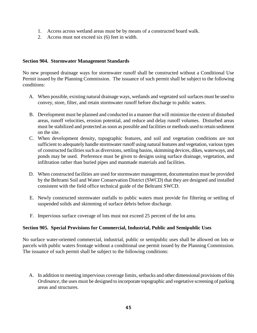- 1. Access across wetland areas must be by means of a constructed board walk.
- 2. Access must not exceed six (6) feet in width.

### **Section 904. Stormwater Management Standards**

No new proposed drainage ways for stormwater runoff shall be constructed without a Conditional Use Permit issued by the Planning Commission. The issuance of such permit shall be subject to the following conditions:

- A. When possible, existing natural drainage ways, wetlands and vegetated soil surfaces must be used to convey, store, filter, and retain stormwater runoff before discharge to public waters.
- B. Development must be planned and conducted in a manner that will minimize the extent of disturbed areas, runoff velocities, erosion potential, and reduce and delay runoff volumes. Disturbed areas must be stabilized and protected as soon as possible and facilities or methods used to retain sediment on the site.
- C. When development density, topographic features, and soil and vegetation conditions are not sufficient to adequately handle stormwater runoff using natural features and vegetation, various types of constructed facilities such as diversions, settling basins, skimming devices, dikes, waterways, and ponds may be used. Preference must be given to designs using surface drainage, vegetation, and infiltration rather than buried pipes and manmade materials and facilities.
- D. When constructed facilities are used for stormwater management, documentation must be provided by the Beltrami Soil and Water Conservation District (SWCD) that they are designed and installed consistent with the field office technical guide of the Beltrami SWCD.
- E. Newly constructed stormwater outfalls to public waters must provide for filtering or settling of suspended solids and skimming of surface debris before discharge.
- F. Impervious surface coverage of lots must not exceed 25 percent of the lot area.

## **Section 905. Special Provisions for Commercial, Industrial, Public and Semipublic Uses**

No surface water-oriented commercial, industrial, public or semipublic uses shall be allowed on lots or parcels with public waters frontage without a conditional use permit issued by the Planning Commission. The issuance of such permit shall be subject to the following conditions:

A. In addition to meeting impervious coverage limits, setbacks and other dimensional provisions of this *Ordinance*, the uses must be designed to incorporate topographic and vegetative screening of parking areas and structures.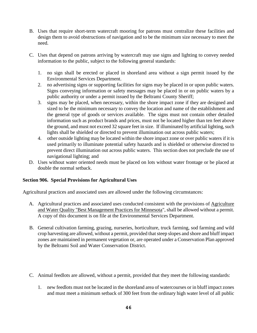- B. Uses that require short-term watercraft mooring for patrons must centralize these facilities and design them to avoid obstructions of navigation and to be the minimum size necessary to meet the need.
- C. Uses that depend on patrons arriving by watercraft may use signs and lighting to convey needed information to the public, subject to the following general standards:
	- 1. no sign shall be erected or placed in shoreland area without a sign permit issued by the Environmental Services Department.
	- 2. no advertising signs or supporting facilities for signs may be placed in or upon public waters. Signs conveying information or safety messages may be placed in or on public waters by a public authority or under a permit issued by the Beltrami County Sheriff;
	- 3. signs may be placed, when necessary, within the shore impact zone if they are designed and sized to be the minimum necessary to convey the location and name of the establishment and the general type of goods or services available. The signs must not contain other detailed information such as product brands and prices, must not be located higher than ten feet above the ground, and must not exceed 32 square feet in size. If illuminated by artificial lighting, such lights shall be shielded or directed to prevent illumination out across public waters;
	- 4. other outside lighting may be located within the shore impact zone or over public waters if it is used primarily to illuminate potential safety hazards and is shielded or otherwise directed to prevent direct illumination out across public waters. This section does not preclude the use of navigational lighting; and
- D. Uses without water oriented needs must be placed on lots without water frontage or be placed at double the normal setback.

## **Section 906. Special Provisions for Agricultural Uses**

Agricultural practices and associated uses are allowed under the following circumstances:

- A. Agricultural practices and associated uses conducted consistent with the provisions of Agriculture and Water Quality "Best Management Practices for Minnesota", shall be allowed without a permit. A copy of this document is on file at the Environmental Services Department.
- B. General cultivation farming, grazing, nurseries, horticulture, truck farming, sod farming and wild crop harvesting are allowed, without a permit, provided that steep slopes and shore and bluff impact zones are maintained in permanent vegetation or, are operated under a Conservation Plan approved by the Beltrami Soil and Water Conservation District.
- C. Animal feedlots are allowed, without a permit, provided that they meet the following standards:
	- 1. new feedlots must not be located in the shoreland area of watercourses or in bluff impact zones and must meet a minimum setback of 300 feet from the ordinary high water level of all public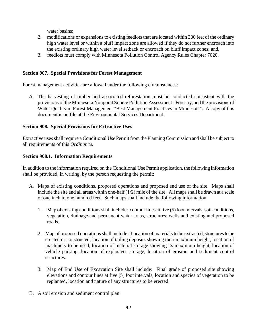water basins;

- 2. modifications or expansions to existing feedlots that are located within 300 feet of the ordinary high water level or within a bluff impact zone are allowed if they do not further encroach into the existing ordinary high water level setback or encroach on bluff impact zones; and,
- 3. feedlots must comply with Minnesota Pollution Control Agency Rules Chapter 7020.

### **Section 907. Special Provisions for Forest Management**

Forest management activities are allowed under the following circumstances:

A. The harvesting of timber and associated reforestation must be conducted consistent with the provisions of the Minnesota Nonpoint Source Pollution Assessment - Forestry, and the provisions of Water Quality in Forest Management "Best Management Practices in Minnesota". A copy of this document is on file at the Environmental Services Department.

### **Section 908. Special Provisions for Extractive Uses**

Extractive uses shall require a Conditional Use Permit from the Planning Commission and shall be subject to all requirements of this *Ordinance*.

#### **Section 908.1. Information Requirements**

In addition to the information required on the Conditional Use Permit application, the following information shall be provided, in writing, by the person requesting the permit:

- A. Maps of existing conditions, proposed operations and proposed end use of the site. Maps shall include the site and all areas within one-half (1/2) mile of the site. All maps shall be drawn at a scale of one inch to one hundred feet. Such maps shall include the following information:
	- 1. Map of existing conditions shall include: contour lines at five (5) foot intervals, soil conditions, vegetation, drainage and permanent water areas, structures, wells and existing and proposed roads.
	- 2. Map of proposed operations shall include: Location of materials to be extracted, structures to be erected or constructed, location of tailing deposits showing their maximum height, location of machinery to be used, location of material storage showing its maximum height, location of vehicle parking, location of explosives storage, location of erosion and sediment control structures.
	- 3. Map of End Use of Excavation Site shall include: Final grade of proposed site showing elevations and contour lines at five (5) foot intervals, location and species of vegetation to be replanted, location and nature of any structures to be erected.
- B. A soil erosion and sediment control plan.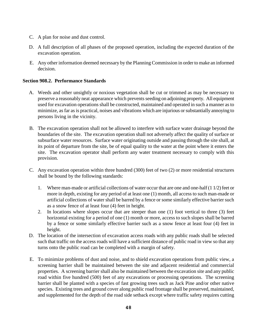- C. A plan for noise and dust control.
- D. A full description of all phases of the proposed operation, including the expected duration of the excavation operation.
- E. Any other information deemed necessary by the Planning Commission in order to make an informed decision.

## **Section 908.2. Performance Standards**

- A. Weeds and other unsightly or noxious vegetation shall be cut or trimmed as may be necessary to preserve a reasonably neat appearance which prevents seeding on adjoining property. All equipment used for excavation operations shall be constructed, maintained and operated in such a manner as to minimize, as far as is practical, noises and vibrations which are injurious or substantially annoying to persons living in the vicinity.
- B. The excavation operation shall not be allowed to interfere with surface water drainage beyond the boundaries of the site. The excavation operation shall not adversely affect the quality of surface or subsurface water resources. Surface water originating outside and passing through the site shall, at its point of departure from the site, be of equal quality to the water at the point where it enters the site. The excavation operator shall perform any water treatment necessary to comply with this provision.
- C. Any excavation operation within three hundred (300) feet of two (2) or more residential structures shall be bound by the following standards:
	- 1. Where man-made or artificial collections of water occur that are one and one-half (1 1/2) feet or more in depth, existing for any period of at least one (1) month, all access to such man-made or artificial collections of water shall be barred by a fence or some similarly effective barrier such as a snow fence of at least four (4) feet in height.
	- 2. In locations where slopes occur that are steeper than one (1) foot vertical to three (3) feet horizontal existing for a period of one (1) month or more, access to such slopes shall be barred by a fence or some similarly effective barrier such as a snow fence at least four (4) feet in height.
- D. The location of the intersection of excavation access roads with any public roads shall be selected such that traffic on the access roads will have a sufficient distance of public road in view so that any turns onto the public road can be completed with a margin of safety.
- E. To minimize problems of dust and noise, and to shield excavation operations from public view, a screening barrier shall be maintained between the site and adjacent residential and commercial properties. A screening barrier shall also be maintained between the excavation site and any public road within five hundred (500) feet of any excavations or processing operations. The screening barrier shall be planted with a species of fast growing trees such as Jack Pine and/or other native species. Existing trees and ground cover along public road frontage shall be preserved, maintained, and supplemented for the depth of the road side setback except where traffic safety requires cutting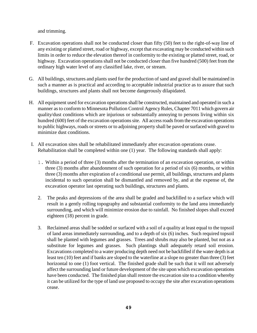and trimming.

- F. Excavation operations shall not be conducted closer than fifty (50) feet to the right-of-way line of any existing or platted street, road or highway, except that excavating may be conducted within such limits in order to reduce the elevation thereof in conformity to the existing or platted street, road, or highway. Excavation operations shall not be conducted closer than five hundred (500) feet from the ordinary high water level of any classified lake, river, or stream.
- G. All buildings, structures and plants used for the production of sand and gravel shall be maintained in such a manner as is practical and according to acceptable industrial practice as to assure that such buildings, structures and plants shall not become dangerously dilapidated.
- H. All equipment used for excavation operations shall be constructed, maintained and operated in such a manner as to conform to Minnesota Pollution Control Agency Rules, Chapter 7011 which govern air quality/dust conditions which are injurious or substantially annoying to persons living within six hundred (600) feet of the excavation operations site. All access roads from the excavation operations to public highways, roads or streets or to adjoining property shall be paved or surfaced with gravel to minimize dust conditions.
- I. All excavation sites shall be rehabilitated immediately after excavation operations cease. Rehabilitation shall be completed within one (1) year. The following standards shall apply:
	- 1. Within a period of three (3) months after the termination of an excavation operation, or within three (3) months after abandonment of such operation for a period of six (6) months, or within three (3) months after expiration of a conditional use permit, all buildings, structures and plants incidental to such operation shall be dismantled and removed by, and at the expense of, the excavation operator last operating such buildings, structures and plants.
	- 2. The peaks and depressions of the area shall be graded and backfilled to a surface which will result in a gently rolling topography and substantial conformity to the land area immediately surrounding, and which will minimize erosion due to rainfall. No finished slopes shall exceed eighteen (18) percent in grade.
	- 3. Reclaimed areas shall be sodded or surfaced with a soil of a quality at least equal to the topsoil of land areas immediately surrounding, and to a depth of six (6) inches. Such required topsoil shall be planted with legumes and grasses. Trees and shrubs may also be planted, but not as a substitute for legumes and grasses. Such plantings shall adequately retard soil erosion. Excavations completed to a water producing depth need not be backfilled if the water depth is at least ten (10) feet and if banks are sloped to the waterline at a slope no greater than three (3) feet horizontal to one (1) foot vertical. The finished grade shall be such that it will not adversely affect the surrounding land or future development of the site upon which excavation operations have been conducted. The finished plan shall restore the excavation site to a condition whereby it can be utilized for the type of land use proposed to occupy the site after excavation operations cease.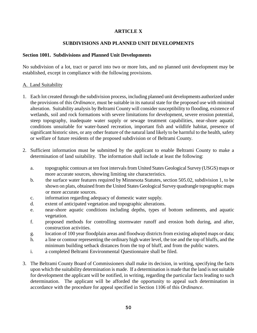# **ARTICLE X**

### **SUBDIVISIONS AND PLANNED UNIT DEVELOPMENTS**

### **Section 1001. Subdivisions and Planned Unit Developments**

No subdivision of a lot, tract or parcel into two or more lots, and no planned unit development may be established, except in compliance with the following provisions.

### A. Land Suitability

- 1. Each lot created through the subdivision process, including planned unit developments authorized under the provisions of this *Ordinance*, must be suitable in its natural state for the proposed use with minimal alteration. Suitability analysis by Beltrami County will consider susceptibility to flooding, existence of wetlands, soil and rock formations with severe limitations for development, severe erosion potential, steep topography, inadequate water supply or sewage treatment capabilities, near-shore aquatic conditions unsuitable for water-based recreation, important fish and wildlife habitat, presence of significant historic sites, or any other feature of the natural land likely to be harmful to the health, safety or welfare of future residents of the proposed subdivision or of Beltrami County.
- 2. Sufficient information must be submitted by the applicant to enable Beltrami County to make a determination of land suitability. The information shall include at least the following:
	- a. topographic contours at ten foot intervals from United States Geological Survey (USGS) maps or more accurate sources, showing limiting site characteristics.
	- b. the surface water features required by Minnesota Statutes, section 505.02, subdivision 1, to be shown on plats, obtained from the United States Geological Survey quadrangle topographic maps or more accurate sources.
	- c. information regarding adequacy of domestic water supply.
	- d. extent of anticipated vegetation and topographic alterations.
	- e. near-shore aquatic conditions including depths, types of bottom sediments, and aquatic vegetation.
	- f. proposed methods for controlling stormwater runoff and erosion both during, and after, construction activities.
	- g. location of 100 year floodplain areas and floodway districts from existing adopted maps or data;
	- h. a line or contour representing the ordinary high water level, the toe and the top of bluffs, and the minimum building setback distances from the top of bluff, and from the public waters.
	- i. a completed Beltrami Environmental Questionnaire shall be filed.
- 3. The Beltrami County Board of Commissioners shall make its decision, in writing, specifying the facts upon which the suitability determination is made. If a determination is made that the land is not suitable for development the applicant will be notified, in writing, regarding the particular facts leading to such determination. The applicant will be afforded the opportunity to appeal such determination in accordance with the procedure for appeal specified in Section 1106 of this *Ordinance*.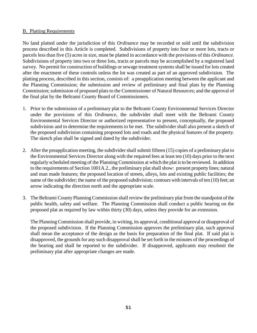#### B. Platting Requirements

No land platted under the jurisdiction of this *Ordinance* may be recorded or sold until the subdivision process described in this Article is completed. Subdivisions of property into four or more lots, tracts or parcels less than five (5) acres in size, must be platted in accordance with the provisions of this *Ordinance*. Subdivisions of property into two or three lots, tracts or parcels may be accomplished by a registered land survey. No permit for construction of buildings or sewage treatment systems shall be issued for lots created after the enactment of these controls unless the lot was created as part of an approved subdivision. The platting process, described in this section, consists of: a preapplication meeting between the applicant and the Planning Commission; the submission and review of preliminary and final plats by the Planning Commission; submission of proposed plats to the Commissioner of Natural Resources; and the approval of the final plat by the Beltrami County Board of Commissioners.

- 1. Prior to the submission of a preliminary plat to the Beltrami County Environmental Services Director under the provisions of this *Ordinance*, the subdivider shall meet with the Beltrami County Environmental Services Director or authorized representative to present, conceptually, the proposed subdivision and to determine the requirements to be met. The subdivider shall also present a sketch of the proposed subdivision containing proposed lots and roads and the physical features of the property. The sketch plan shall be signed and dated by the subdivider.
- 2. After the preapplication meeting, the subdivider shall submit fifteen (15) copies of a preliminary plat to the Environmental Services Director along with the required fees at least ten (10) days prior to the next regularly scheduled meeting of the Planning Commission at which the plat is to be reviewed. In addition to the requirements of Section 1001A.2., the preliminary plat shall show: present property lines; natural and man made features; the proposed location of streets, alleys, lots and existing public facilities; the name of the subdivider; the name of the proposed subdivision; contours with intervals of ten (10) feet; an arrow indicating the direction north and the appropriate scale.
- 3. The Beltrami County Planning Commission shall review the preliminary plat from the standpoint of the public health, safety and welfare. The Planning Commission shall conduct a public hearing on the proposed plat as required by law within thirty (30) days, unless they provide for an extension.

The Planning Commission shall provide, in writing, its approval, conditional approval or disapproval of the proposed subdivision. If the Planning Commission approves the preliminary plat, such approval shall mean the acceptance of the design as the basis for preparation of the final plat. If said plat is disapproved, the grounds for any such disapproval shall be set forth in the minutes of the proceedings of the hearing and shall be reported to the subdivider. If disapproved, applicants may resubmit the preliminary plat after appropriate changes are made.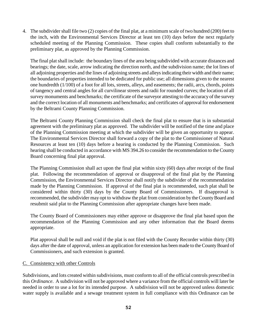4. The subdivider shall file two (2) copies of the final plat, at a minimum scale of two hundred (200) feet to the inch, with the Environmental Services Director at least ten (10) days before the next regularly scheduled meeting of the Planning Commission. These copies shall conform substantially to the preliminary plat, as approved by the Planning Commission.

The final plat shall include: the boundary lines of the area being subdivided with accurate distances and bearings; the date, scale, arrow indicating the direction north, and the subdivision name; the lot lines of all adjoining properties and the lines of adjoining streets and alleys indicating their width and their name; the boundaries of properties intended to be dedicated for public use; all dimensions given to the nearest one hundredth (1/100) of a foot for all lots, streets, alleys, and easements; the radii, arcs, chords, points of tangency and central angles for all curvilinear streets and radii for rounded curves; the location of all survey monuments and benchmarks; the certificate of the surveyor attesting to the accuracy of the survey and the correct location of all monuments and benchmarks; and certificates of approval for endorsement by the Beltrami County Planning Commission.

The Beltrami County Planning Commission shall check the final plat to ensure that is in substantial agreement with the preliminary plat as approved. The subdivider will be notified of the time and place of the Planning Commission meeting at which the subdivider will be given an opportunity to appear. The Environmental Services Director shall forward a copy of the plat to the Commissioner of Natural Resources at least ten (10) days before a hearing is conducted by the Planning Commission. Such hearing shall be conducted in accordance with MS 394.26 to consider the recommendation to the County Board concerning final plat approval.

The Planning Commission shall act upon the final plat within sixty (60) days after receipt of the final plat. Following the recommendation of approval or disapproval of the final plat by the Planning Commission, the Environmental Services Director shall notify the subdivider of the recommendation made by the Planning Commission. If approval of the final plat is recommended, such plat shall be considered within thirty (30) days by the County Board of Commissioners. If disapproval is recommended, the subdivider may opt to withdraw the plat from consideration by the County Board and resubmit said plat to the Planning Commission after appropriate changes have been made.

The County Board of Commissioners may either approve or disapprove the final plat based upon the recommendation of the Planning Commission and any other information that the Board deems appropriate.

Plat approval shall be null and void if the plat is not filed with the County Recorder within thirty (30) days after the date of approval, unless an application for extension has been made to the County Board of Commissioners, and such extension is granted.

#### C. Consistency with other Controls

Subdivisions, and lots created within subdivisions, must conform to all of the official controls prescribed in this *Ordinance*. A subdivision will not be approved where a variance from the official controls will later be needed in order to use a lot for its intended purpose. A subdivision will not be approved unless domestic water supply is available and a sewage treatment system in full compliance with this Ordinance can be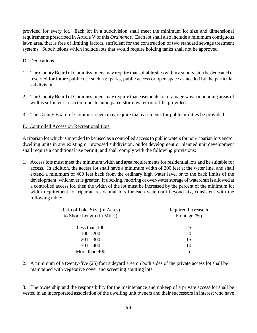provided for every lot. Each lot in a subdivision shall meet the minimum lot size and dimensional requirements prescribed in Article V of this *Ordinance*. Each lot shall also include a minimum contiguous lawn area, that is free of limiting factors, sufficient for the construction of two standard sewage treatment systems. Subdivisions which include lots that would require holding tanks shall not be approved.

### D. Dedications

- 1. The County Board of Commissioners may require that suitable sites within a subdivision be dedicated or reserved for future public use such as: parks, public access or open space as needed by the particular subdivision.
- 2. The County Board of Commissioners may require that easements for drainage ways or ponding areas of widths sufficient to accommodate anticipated storm water runoff be provided.
- 3. The County Board of Commissioners may require that easements for public utilities be provided.

## E. Controlled Access on Recreational Lots

A riparian lot which is intended to be used as a controlled access to public waters for non-riparian lots and/or dwelling units in any existing or proposed subdivision, outlot development or planned unit development shall require a conditional use permit, and shall comply with the following provisions:

1. Access lots must meet the minimum width and area requirements for residential lots and be suitable for access. In addition, the access lot shall have a minimum width of 200 feet at the water line, and shall extend a minimum of 400 feet back from the ordinary high water level or to the back limits of the development, whichever is greater. If docking, mooring or over-water storage of watercraft is allowed at a controlled access lot, then the width of the lot must be increased by the percent of the minimum lot width requirement for riparian residential lots for each watercraft beyond six, consistent with the following table:

| Ratio of Lake Size (in Acres) | Required Increase in |
|-------------------------------|----------------------|
| to Shore Length (in Miles)    | Frontage $(\% )$     |
| Less than 100                 | 25                   |
| $100 - 200$                   | 20                   |
| $201 - 300$                   | 15                   |
| $301 - 400$                   | 10                   |
| More than 400                 |                      |

2. A minimum of a twenty-five (25) foot sideyard area on both sides of the private access lot shall be maintained with vegetative cover and screening abutting lots.

3. The ownership and the responsibility for the maintenance and upkeep of a private access lot shall be vested in an incorporated association of the dwelling unit owners and their successors in interest who have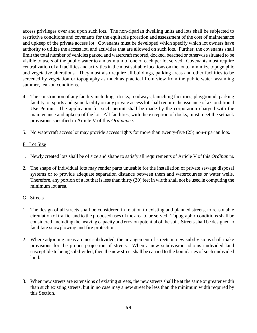access privileges over and upon such lots. The non-riparian dwelling units and lots shall be subjected to restrictive conditions and covenants for the equitable proration and assessment of the cost of maintenance and upkeep of the private access lot. Covenants must be developed which specify which lot owners have authority to utilize the access lot, and activities that are allowed on such lots. Further, the covenants shall limit the total number of vehicles parked and watercraft moored, docked, beached or otherwise situated to be visible to users of the public water to a maximum of one of each per lot served. Covenants must require centralization of all facilities and activities in the most suitable locations on the lot to minimize topographic and vegetative alterations. They must also require all buildings, parking areas and other facilities to be screened by vegetation or topography as much as practical from view from the public water, assuming summer, leaf-on conditions.

- 4. The construction of any facility including: docks, roadways, launching facilities, playground, parking facility, or sports and game facility on any private access lot shall require the issuance of a Conditional Use Permit. The application for such permit shall be made by the corporation charged with the maintenance and upkeep of the lot. All facilities, with the exception of docks, must meet the setback provisions specified in Article V of this *Ordinance*.
- 5. No watercraft access lot may provide access rights for more than twenty-five (25) non-riparian lots.

## F. Lot Size

- 1. Newly created lots shall be of size and shape to satisfy all requirements of Article V of this *Ordinance*.
- 2. The shape of individual lots may render parts unusable for the installation of private sewage disposal systems or to provide adequate separation distance between them and watercourses or water wells. Therefore, any portion of a lot that is less than thirty (30) feet in width shall not be used in computing the minimum lot area.

## G. Streets

- 1. The design of all streets shall be considered in relation to existing and planned streets, to reasonable circulation of traffic, and to the proposed uses of the area to be served. Topographic conditions shall be considered, including the heaving capacity and erosion potential of the soil. Streets shall be designed to facilitate snowplowing and fire protection.
- 2. Where adjoining areas are not subdivided, the arrangement of streets in new subdivisions shall make provisions for the proper projection of streets. When a new subdivision adjoins undivided land susceptible to being subdivided, then the new street shall be carried to the boundaries of such undivided land.
- 3. When new streets are extensions of existing streets, the new streets shall be at the same or greater width than such existing streets, but in no case may a new street be less than the minimum width required by this Section.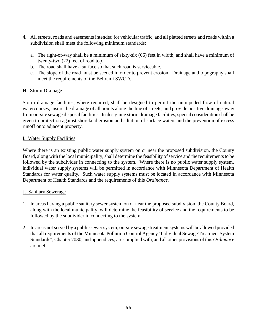- 4. All streets, roads and easements intended for vehicular traffic, and all platted streets and roads within a subdivision shall meet the following minimum standards:
	- a. The right-of-way shall be a minimum of sixty-six (66) feet in width, and shall have a minimum of twenty-two (22) feet of road top.
	- b. The road shall have a surface so that such road is serviceable.
	- c. The slope of the road must be seeded in order to prevent erosion. Drainage and topography shall meet the requirements of the Beltrami SWCD.

## H. Storm Drainage

Storm drainage facilities, where required, shall be designed to permit the unimpeded flow of natural watercourses, insure the drainage of all points along the line of streets, and provide positive drainage away from on-site sewage disposal facilities. In designing storm drainage facilities, special consideration shall be given to protection against shoreland erosion and siltation of surface waters and the prevention of excess runoff onto adjacent property.

## I. Water Supply Facilities

Where there is an existing public water supply system on or near the proposed subdivision, the County Board, along with the local municipality, shall determine the feasibility of service and the requirements to be followed by the subdivider in connecting to the system. Where there is no public water supply system, individual water supply systems will be permitted in accordance with Minnesota Department of Health Standards for water quality. Such water supply systems must be located in accordance with Minnesota Department of Health Standards and the requirements of this *Ordinance.*

## J. Sanitary Sewerage

- 1. In areas having a public sanitary sewer system on or near the proposed subdivision, the County Board, along with the local municipality, will determine the feasibility of service and the requirements to be followed by the subdivider in connecting to the system.
- 2. In areas not served by a public sewer system, on-site sewage treatment systems will be allowed provided that all requirements of the Minnesota Pollution Control Agency "Individual Sewage Treatment System Standards", Chapter 7080, and appendices, are complied with, and all other provisions of this *Ordinance* are met.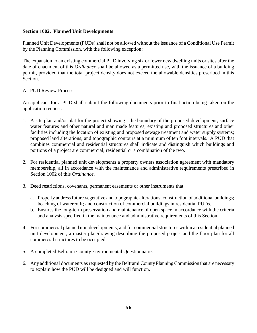## **Section 1002. Planned Unit Developments**

Planned Unit Developments (PUDs) shall not be allowed without the issuance of a Conditional Use Permit by the Planning Commission, with the following exception:

The expansion to an existing commercial PUD involving six or fewer new dwelling units or sites after the date of enactment of this *Ordinance* shall be allowed as a permitted use, with the issuance of a building permit, provided that the total project density does not exceed the allowable densities prescribed in this Section.

### A. PUD Review Process

An applicant for a PUD shall submit the following documents prior to final action being taken on the application request:

- 1. A site plan and/or plat for the project showing: the boundary of the proposed development; surface water features and other natural and man made features; existing and proposed structures and other facilities including the location of existing and proposed sewage treatment and water supply systems; proposed land alterations; and topographic contours at a minimum of ten foot intervals. A PUD that combines commercial and residential structures shall indicate and distinguish which buildings and portions of a project are commercial, residential or a combination of the two.
- 2. For residential planned unit developments a property owners association agreement with mandatory membership, all in accordance with the maintenance and administrative requirements prescribed in Section 1002 of this *Ordinance*.
- 3. Deed restrictions, covenants, permanent easements or other instruments that:
	- a. Properly address future vegetative and topographic alterations; construction of additional buildings; beaching of watercraft; and construction of commercial buildings in residential PUDs.
	- b. Ensures the long-term preservation and maintenance of open space in accordance with the criteria and analysis specified in the maintenance and administrative requirements of this Section.
- 4. For commercial planned unit developments, and for commercial structures within a residential planned unit development, a master plan/drawing describing the proposed project and the floor plan for all commercial structures to be occupied.
- 5. A completed Beltrami County Environmental Questionnaire.
- 6. Any additional documents as requested by the Beltrami County Planning Commission that are necessary to explain how the PUD will be designed and will function.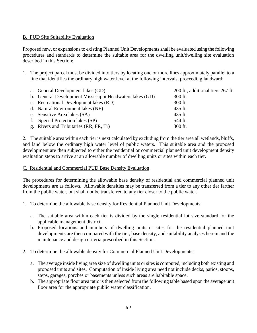## B. PUD Site Suitability Evaluation

Proposed new, or expansions to existing Planned Unit Developments shall be evaluated using the following procedures and standards to determine the suitable area for the dwelling unit/dwelling site evaluation described in this Section:

1. The project parcel must be divided into tiers by locating one or more lines approximately parallel to a line that identifies the ordinary high water level at the following intervals, proceeding landward:

| a. General Development lakes (GD)                        | 200 ft., additional tiers 267 ft. |
|----------------------------------------------------------|-----------------------------------|
| b. General Development Mississippi Headwaters lakes (GD) | 300 ft.                           |
| c. Recreational Development lakes (RD)                   | 300 ft.                           |
| d. Natural Environment lakes (NE)                        | 435 ft.                           |
| e. Sensitive Area lakes (SA)                             | 435 ft.                           |
| f. Special Protection lakes (SP)                         | 544 ft.                           |
| g. Rivers and Tributaries (RR, FR, Tr)                   | 300 ft.                           |

2. The suitable area within each tier is next calculated by excluding from the tier area all wetlands, bluffs, and land below the ordinary high water level of public waters. This suitable area and the proposed development are then subjected to either the residential or commercial planned unit development density evaluation steps to arrive at an allowable number of dwelling units or sites within each tier.

### C. Residential and Commercial PUD Base Density Evaluation

The procedures for determining the allowable base density of residential and commercial planned unit developments are as follows. Allowable densities may be transferred from a tier to any other tier farther from the public water, but shall not be transferred to any tier closer to the public water.

- 1. To determine the allowable base density for Residential Planned Unit Developments:
	- a. The suitable area within each tier is divided by the single residential lot size standard for the applicable management district.
	- b. Proposed locations and numbers of dwelling units or sites for the residential planned unit developments are then compared with the tier, base density, and suitability analyses herein and the maintenance and design criteria prescribed in this Section.
- 2. To determine the allowable density for Commercial Planned Unit Developments:
	- a. The average inside living area size of dwelling units or sites is computed, including both existing and proposed units and sites. Computation of inside living area need not include decks, patios, stoops, steps, garages, porches or basements unless such areas are habitable space.
	- b. The appropriate floor area ratio is then selected from the following table based upon the average unit floor area for the appropriate public water classification.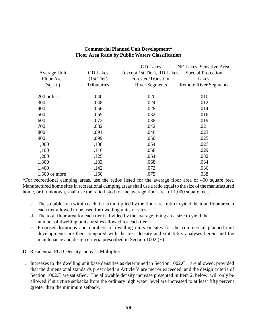## **Commercial Planned Unit Development\* Floor Area Ratio by Public Waters Classification**

|                 |                 | <b>GD</b> Lakes              | NE Lakes, Sensitive Area,    |
|-----------------|-----------------|------------------------------|------------------------------|
| Average Unit    | <b>GD</b> Lakes | (except 1st Tier), RD Lakes, | <b>Special Protection</b>    |
| Floor Area      | $(1st$ Tier)    | Forested/Transition          | Lakes,                       |
| (sq. ft.)       | Tributaries     | <b>River Segments</b>        | <b>Remote River Segments</b> |
| 200 or less     | .040            | .020                         | .010                         |
| 300             | .048            | .024                         | .012                         |
| 400             | .056            | .028                         | .014                         |
| 500             | .065            | .032                         | .016                         |
| 600             | .072            | .038                         | .019                         |
| 700             | .082            | .042                         | .021                         |
| 800             | .091            | .046                         | .023                         |
| 900             | .099            | .050                         | .025                         |
| 1,000           | .108            | .054                         | .027                         |
| 1,100           | .116            | .058                         | .029                         |
| 1,200           | .125            | .064                         | .032                         |
| 1,300           | .133            | .068                         | .034                         |
| 1,400           | .142            | .072                         | .036                         |
| $1,500$ or more | .150            | .075                         | .038                         |

\*For recreational camping areas, use the ratios listed for the average floor area of 400 square feet. Manufactured home sites in recreational camping areas shall use a ratio equal to the size of the manufactured home, or if unknown, shall use the ratio listed for the average floor area of 1,000 square feet.

- c. The suitable area within each tier is multiplied by the floor area ratio to yield the total floor area in each tier allowed to be used for dwelling units or sites.
- d. The total floor area for each tier is divided by the average living area size to yield the number of dwelling units or sites allowed for each tier.
- e. Proposed locations and numbers of dwelling units or sites for the commercial planned unit developments are then compared with the tier, density and suitability analyses herein and the maintenance and design criteria prescribed in Section 1002 (E).

## D. Residential PUD Density Increase Multiplier

1. Increases to the dwelling unit base densities as determined in Section 1002.C.1 are allowed, provided that the dimensional standards prescribed in Article V are met or exceeded, and the design criteria of Section 1002.E are satisfied. The allowable density increase presented in Item 2, below, will only be allowed if structure setbacks from the ordinary high water level are increased to at least fifty percent greater than the minimum setback.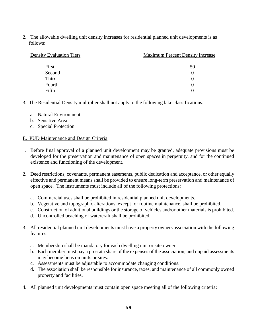2. The allowable dwelling unit density increases for residential planned unit developments is as follows:

| <b>Density Evaluation Tiers</b> | <b>Maximum Percent Density Increase</b> |  |
|---------------------------------|-----------------------------------------|--|
|                                 |                                         |  |
| First                           | 50                                      |  |
| Second                          |                                         |  |
| <b>Third</b>                    |                                         |  |
| Fourth                          |                                         |  |
| Fifth                           |                                         |  |

- 3. The Residential Density multiplier shall not apply to the following lake classifications:
	- a. Natural Environment
	- b. Sensitive Area
	- c. Special Protection

#### E. PUD Maintenance and Design Criteria

- 1. Before final approval of a planned unit development may be granted, adequate provisions must be developed for the preservation and maintenance of open spaces in perpetuity, and for the continued existence and functioning of the development.
- 2. Deed restrictions, covenants, permanent easements, public dedication and acceptance, or other equally effective and permanent means shall be provided to ensure long-term preservation and maintenance of open space. The instruments must include all of the following protections:
	- a. Commercial uses shall be prohibited in residential planned unit developments.
	- b. Vegetative and topographic alterations, except for routine maintenance, shall be prohibited.
	- c. Construction of additional buildings or the storage of vehicles and/or other materials is prohibited.
	- d. Uncontrolled beaching of watercraft shall be prohibited.
- 3. All residential planned unit developments must have a property owners association with the following features:
	- a. Membership shall be mandatory for each dwelling unit or site owner.
	- b. Each member must pay a pro-rata share of the expenses of the association, and unpaid assessments may become liens on units or sites.
	- c. Assessments must be adjustable to accommodate changing conditions.
	- d. The association shall be responsible for insurance, taxes, and maintenance of all commonly owned property and facilities.
- 4. All planned unit developments must contain open space meeting all of the following criteria: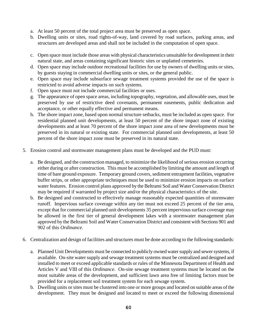- a. At least 50 percent of the total project area must be preserved as open space.
- b. Dwelling units or sites, road rights-of-way, land covered by road surfaces, parking areas, and structures are developed areas and shall not be included in the computation of open space.
- c. Open space must include those areas with physical characteristics unsuitable for development in their natural state, and areas containing significant historic sites or unplatted cemeteries.
- d. Open space may include outdoor recreational facilities for use by owners of dwelling units or sites, by guests staying in commercial dwelling units or sites, or the general public.
- e. Open space may include subsurface sewage treatment systems provided the use of the space is restricted to avoid adverse impacts on such systems.
- f. Open space must not include commercial facilities or uses.
- g. The appearance of open space areas, including topography, vegetation, and allowable uses, must be preserved by use of restrictive deed covenants, permanent easements, public dedication and acceptance, or other equally effective and permanent means.
- h. The shore impact zone, based upon normal structure setbacks, must be included as open space. For residential planned unit developments, at least 50 percent of the shore impact zone of existing developments and at least 70 percent of the shore impact zone area of new developments must be preserved in its natural or existing state. For commercial planned unit developments, at least 50 percent of the shore impact zone must be preserved in its natural state.
- 5. Erosion control and stormwater management plans must be developed and the PUD must:
	- a. Be designed, and the construction managed, to minimize the likelihood of serious erosion occurring either during or after construction. This must be accomplished by limiting the amount and length of time of bare ground exposure. Temporary ground covers, sediment entrapment facilities, vegetative buffer strips, or other appropriate techniques must be used to minimize erosion impacts on surface water features. Erosion control plans approved by the Beltrami Soil and Water Conservation District may be required if warranted by project size and/or the physical characteristics of the site.
	- b. Be designed and constructed to effectively manage reasonably expected quantities of stormwater runoff. Impervious surface coverage within any tier must not exceed 25 percent of the tier area, except that for commercial planned unit developments 35 percent impervious surface coverage may be allowed in the first tier of general development lakes with a stormwater management plan approved by the Beltrami Soil and Water Conservation District and consistent with Sections 901 and 902 of this *Ordinance*.
- 6. Centralization and design of facilities and structures must be done according to the following standards:
	- a. Planned Unit Developments must be connected to publicly owned water supply and sewer systems, if available. On-site water supply and sewage treatment systems must be centralized and designed and installed to meet or exceed applicable standards or rules of the Minnesota Department of Health and Articles V and VIII of this *Ordinance*. On-site sewage treatment systems must be located on the most suitable areas of the development, and sufficient lawn area free of limiting factors must be provided for a replacement soil treatment system for each sewage system.
	- b. Dwelling units or sites must be clustered into one or more groups and located on suitable areas of the development. They must be designed and located to meet or exceed the following dimensional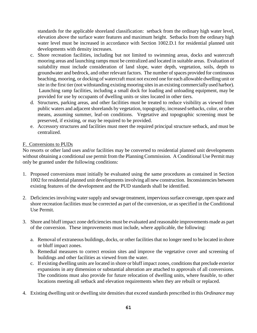standards for the applicable shoreland classification: setback from the ordinary high water level, elevation above the surface water features and maximum height. Setbacks from the ordinary high water level must be increased in accordance with Section 1002.D.1 for residential planned unit developments with density increases.

- c. Shore recreation facilities, including but not limited to swimming areas, docks and watercraft mooring areas and launching ramps must be centralized and located in suitable areas. Evaluation of suitability must include consideration of land slope, water depth, vegetation, soils, depth to groundwater and bedrock, and other relevant factors. The number of spaces provided for continuous beaching, mooring, or docking of watercraft must not exceed one for each allowable dwelling unit or site in the first tier (not withstanding existing mooring sites in an existing commercially used harbor). Launching ramp facilities, including a small dock for loading and unloading equipment, may be provided for use by occupants of dwelling units or sites located in other tiers.
- d. Structures, parking areas, and other facilities must be treated to reduce visibility as viewed from public waters and adjacent shorelands by vegetation, topography, increased setbacks, color, or other means, assuming summer, leaf-on conditions. Vegetative and topographic screening must be preserved, if existing, or may be required to be provided.
- e. Accessory structures and facilities must meet the required principal structure setback, and must be centralized.

## F. Conversions to PUDs

No resorts or other land uses and/or facilities may be converted to residential planned unit developments without obtaining a conditional use permit from the Planning Commission. A Conditional Use Permit may only be granted under the following conditions:

- 1. Proposed conversions must initially be evaluated using the same procedures as contained in Section 1002 for residential planned unit developments involving all new construction. Inconsistencies between existing features of the development and the PUD standards shall be identified.
- 2. Deficiencies involving water supply and sewage treatment, impervious surface coverage, open space and shore recreation facilities must be corrected as part of the conversion, or as specified in the Conditional Use Permit.
- 3. Shore and bluff impact zone deficiencies must be evaluated and reasonable improvements made as part of the conversion. These improvements must include, where applicable, the following:
	- a. Removal of extraneous buildings, docks, or other facilities that no longer need to be located in shore or bluff impact zones.
	- b. Remedial measures to correct erosion sites and improve the vegetative cover and screening of buildings and other facilities as viewed from the water.
	- c. If existing dwelling units are located in shore or bluff impact zones, conditions that preclude exterior expansions in any dimension or substantial alteration are attached to approvals of all conversions. The conditions must also provide for future relocation of dwelling units, where feasible, to other locations meeting all setback and elevation requirements when they are rebuilt or replaced.
- 4. Existing dwelling unit or dwelling site densities that exceed standards prescribed in this *Ordinance* may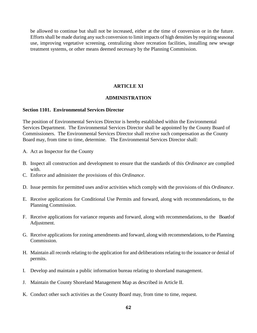be allowed to continue but shall not be increased, either at the time of conversion or in the future. Efforts shall be made during any such conversion to limit impacts of high densities by requiring seasonal use, improving vegetative screening, centralizing shore recreation facilities, installing new sewage treatment systems, or other means deemed necessary by the Planning Commission.

#### **ARTICLE XI**

#### **ADMINISTRATION**

#### **Section 1101. Environmental Services Director**

The position of Environmental Services Director is hereby established within the Environmental Services Department. The Environmental Services Director shall be appointed by the County Board of Commissioners. The Environmental Services Director shall receive such compensation as the County Board may, from time to time, determine. The Environmental Services Director shall:

- A. Act as Inspector for the County
- B. Inspect all construction and development to ensure that the standards of this *Ordinance* are complied with.
- C. Enforce and administer the provisions of this *Ordinance*.
- D. Issue permits for permitted uses and/or activities which comply with the provisions of this *Ordinance*.
- E. Receive applications for Conditional Use Permits and forward, along with recommendations, to the Planning Commission.
- F. Receive applications for variance requests and forward, along with recommendations, to the Board of Adjustment.
- G. Receive applications for zoning amendments and forward, along with recommendations, to the Planning Commission.
- H. Maintain all records relating to the application for and deliberations relating to the issuance or denial of permits.
- I. Develop and maintain a public information bureau relating to shoreland management.
- J. Maintain the County Shoreland Management Map as described in Article II.
- K. Conduct other such activities as the County Board may, from time to time, request.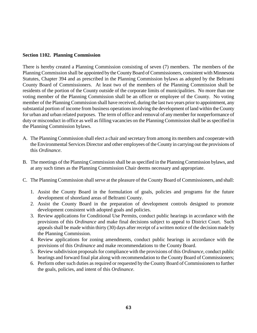### **Section 1102. Planning Commission**

There is hereby created a Planning Commission consisting of seven (7) members. The members of the Planning Commission shall be appointed by the County Board of Commissioners, consistent with Minnesota Statutes, Chapter 394 and as prescribed in the Planning Commission bylaws as adopted by the Beltrami County Board of Commissioners. At least two of the members of the Planning Commission shall be residents of the portion of the County outside of the corporate limits of municipalities. No more than one voting member of the Planning Commission shall be an officer or employee of the County. No voting member of the Planning Commission shall have received, during the last two years prior to appointment, any substantial portion of income from business operations involving the development of land within the County for urban and urban related purposes. The term of office and removal of any member for nonperformance of duty or misconduct in office as well as filling vacancies on the Planning Commission shall be as specified in the Planning Commission bylaws.

- A. The Planning Commission shall elect a chair and secretary from among its members and cooperate with the Environmental Services Director and other employees of the County in carrying out the provisions of this *Ordinance*.
- B. The meetings of the Planning Commission shall be as specified in the Planning Commission bylaws, and at any such times as the Planning Commission Chair deems necessary and appropriate.
- C. The Planning Commission shall serve at the pleasure of the County Board of Commissioners, and shall:
	- 1. Assist the County Board in the formulation of goals, policies and programs for the future development of shoreland areas of Beltrami County.
	- 2. Assist the County Board in the preparation of development controls designed to promote development consistent with adopted goals and policies.
	- 3. Review applications for Conditional Use Permits, conduct public hearings in accordance with the provisions of this *Ordinance* and make final decisions subject to appeal to District Court. Such appeals shall be made within thirty (30) days after receipt of a written notice of the decision made by the Planning Commission.
	- 4. Review applications for zoning amendments, conduct public hearings in accordance with the provisions of this *Ordinance* and make recommendations to the County Board.
	- 5. Review subdivision proposals for compliance with the provisions of this *Ordinance*, conduct public hearings and forward final plat along with recommendation to the County Board of Commissioners;
	- 6. Perform other such duties as required or requested by the County Board of Commissioners to further the goals, policies, and intent of this *Ordinance*.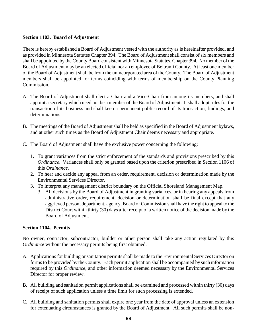## **Section 1103. Board of Adjustment**

There is hereby established a Board of Adjustment vested with the authority as is hereinafter provided, and as provided in Minnesota Statutes Chapter 394. The Board of Adjustment shall consist of six members and shall be appointed by the County Board consistent with Minnesota Statutes, Chapter 394. No member of the Board of Adjustment may be an elected official nor an employee of Beltrami County. At least one member of the Board of Adjustment shall be from the unincorporated area of the County. The Board of Adjustment members shall be appointed for terms coinciding with terms of membership on the County Planning Commission.

- A. The Board of Adjustment shall elect a Chair and a Vice-Chair from among its members, and shall appoint a secretary which need not be a member of the Board of Adjustment. It shall adopt rules for the transaction of its business and shall keep a permanent public record of its transaction, findings, and determinations.
- B. The meetings of the Board of Adjustment shall be held as specified in the Board of Adjustment bylaws, and at other such times as the Board of Adjustment Chair deems necessary and appropriate.
- C. The Board of Adjustment shall have the exclusive power concerning the following:
	- 1. To grant variances from the strict enforcement of the standards and provisions prescribed by this *Ordinance*. Variances shall only be granted based upon the criterion prescribed in Section 1106 of this *Ordinance*.
	- 2. To hear and decide any appeal from an order, requirement, decision or determination made by the Environmental Services Director.
	- 3. To interpret any management district boundary on the Official Shoreland Management Map.
		- 3. All decisions by the Board of Adjustment in granting variances, or in hearing any appeals from administrative order, requirement, decision or determination shall be final except that any aggrieved person, department, agency, Board or Commission shall have the right to appeal to the District Court within thirty (30) days after receipt of a written notice of the decision made by the Board of Adjustment.

#### **Section 1104. Permits**

No owner, contractor, subcontractor, builder or other person shall take any action regulated by this *Ordinance* without the necessary permits being first obtained.

- A. Applications for building or sanitation permits shall be made to the Environmental Services Director on forms to be provided by the County. Each permit application shall be accompanied by such information required by this *Ordinance*, and other information deemed necessary by the Environmental Services Director for proper review.
- B. All building and sanitation permit applications shall be examined and processed within thirty (30) days of receipt of such application unless a time limit for such processing is extended.
- C. All building and sanitation permits shall expire one year from the date of approval unless an extension for extenuating circumstances is granted by the Board of Adjustment. All such permits shall be non-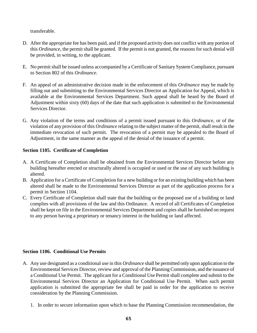transferable.

- D. After the appropriate fee has been paid, and if the proposed activity does not conflict with any portion of this *Ordinance*, the permit shall be granted. If the permit is not granted, the reasons for such denial will be provided, in writing, to the applicant.
- E. No permit shall be issued unless accompanied by a Certificate of Sanitary System Compliance, pursuant to Section 802 of this *Ordinance*.
- F. An appeal of an administrative decision made in the enforcement of this *Ordinance* may be made by filling out and submitting to the Environmental Services Director an Application for Appeal, which is available at the Environmental Services Department. Such appeal shall be heard by the Board of Adjustment within sixty (60) days of the date that such application is submitted to the Environmental Services Director.
- G. Any violation of the terms and conditions of a permit issued pursuant to this *Ordinance*, or of the violation of any provision of this *Ordinance* relating to the subject matter of the permit, shall result in the immediate revocation of such permit. The revocation of a permit may be appealed to the Board of Adjustment, in the same manner as the appeal of the denial of the issuance of a permit.

# **Section 1105. Certificate of Completion**

- A. A Certificate of Completion shall be obtained from the Environmental Services Director before any building hereafter erected or structurally altered is occupied or used or the use of any such building is altered.
- B. Application for a Certificate of Completion for a new building or for an existing building which has been altered shall be made to the Environmental Services Director as part of the application process for a permit in Section 1104.
- C. Every Certificate of Completion shall state that the building or the proposed use of a building or land complies with all provisions of the law and this Ordinance. A record of all Certificates of Completion shall be kept on file in the Environmental Services Department and copies shall be furnished on request to any person having a proprietary or tenancy interest in the building or land affected.

## **Section 1106. Conditional Use Permits**

- A. Any use designated as a conditional use in this *Ordinance* shall be permitted only upon application to the Environmental Services Director, review and approval of the Planning Commission, and the issuance of a Conditional Use Permit. The applicant for a Conditional Use Permit shall complete and submit to the Environmental Services Director an Application for Conditional Use Permit. When such permit application is submitted the appropriate fee shall be paid in order for the application to receive consideration by the Planning Commission.
	- 1. In order to secure information upon which to base the Planning Commission recommendation, the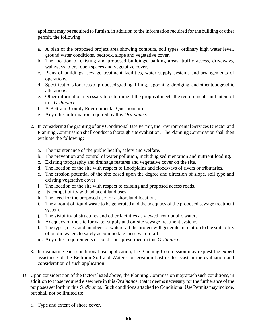applicant may be required to furnish, in addition to the information required for the building or other permit, the following:

- a. A plan of the proposed project area showing contours, soil types, ordinary high water level, ground water conditions, bedrock, slope and vegetative cover.
- b. The location of existing and proposed buildings, parking areas, traffic access, driveways, walkways, piers, open spaces and vegetative cover.
- c. Plans of buildings, sewage treatment facilities, water supply systems and arrangements of operations.
- d. Specifications for areas of proposed grading, filling, lagooning, dredging, and other topographic alterations.
- e. Other information necessary to determine if the proposal meets the requirements and intent of this *Ordinance*.
- f. A Beltrami County Environmental Questionnaire
- g. Any other information required by this *Ordinance*.
- 2. In considering the granting of any Conditional Use Permit, the Environmental Services Director and Planning Commission shall conduct a thorough site evaluation. The Planning Commission shall then evaluate the following:
	- a. The maintenance of the public health, safety and welfare.
	- b. The prevention and control of water pollution, including sedimentation and nutrient loading.
	- c. Existing topography and drainage features and vegetative cover on the site.
	- d. The location of the site with respect to floodplains and floodways of rivers or tributaries.
	- e. The erosion potential of the site based upon the degree and direction of slope, soil type and existing vegetative cover.
	- f. The location of the site with respect to existing and proposed access roads.
	- g. Its compatibility with adjacent land uses.
	- h. The need for the proposed use for a shoreland location.
	- i. The amount of liquid waste to be generated and the adequacy of the proposed sewage treatment system.
	- j. The visibility of structures and other facilities as viewed from public waters.
	- k. Adequacy of the site for water supply and on-site sewage treatment systems.
	- l. The types, uses, and numbers of watercraft the project will generate in relation to the suitability of public waters to safely accommodate these watercraft.
	- m. Any other requirements or conditions prescribed in this *Ordinance*.
- 3. In evaluating each conditional use application, the Planning Commission may request the expert assistance of the Beltrami Soil and Water Conservation District to assist in the evaluation and consideration of such application.
- D. Upon consideration of the factors listed above, the Planning Commission may attach such conditions, in addition to those required elsewhere in this *Ordinance*, that it deems necessary for the furtherance of the purposes set forth in this *Ordinance*. Such conditions attached to Conditional Use Permits may include, but shall not be limited to:
	- a. Type and extent of shore cover.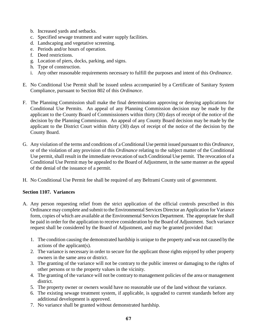- b. Increased yards and setbacks.
- c. Specified sewage treatment and water supply facilities.
- d. Landscaping and vegetative screening.
- e. Periods and/or hours of operation.
- f. Deed restrictions.
- g. Location of piers, docks, parking, and signs.
- h. Type of construction.
- i. Any other reasonable requirements necessary to fulfill the purposes and intent of this *Ordinance*.
- E. No Conditional Use Permit shall be issued unless accompanied by a Certificate of Sanitary System Compliance, pursuant to Section 802 of this *Ordinance*.
- F. The Planning Commission shall make the final determination approving or denying applications for Conditional Use Permits. An appeal of any Planning Commission decision may be made by the applicant to the County Board of Commissioners within thirty (30) days of receipt of the notice of the decision by the Planning Commission. An appeal of any County Board decision may be made by the applicant to the District Court within thirty (30) days of receipt of the notice of the decision by the County Board.
- G. Any violation of the terms and conditions of a Conditional Use permit issued pursuant to this *Ordinance*, or of the violation of any provision of this *Ordinance* relating to the subject matter of the Conditional Use permit, shall result in the immediate revocation of such Conditional Use permit. The revocation of a Conditional Use Permit may be appealed to the Board of Adjustment, in the same manner as the appeal of the denial of the issuance of a permit.
- H. No Conditional Use Permit fee shall be required of any Beltrami County unit of government.

## **Section 1107. Variances**

- A. Any person requesting relief from the strict application of the official controls prescribed in this Ordinance may complete and submit to the Environmental Services Director an Application for Variance form, copies of which are available at the Environmental Services Department. The appropriate fee shall be paid in order for the application to receive consideration by the Board of Adjustment. Such variance request shall be considered by the Board of Adjustment, and may be granted provided that:
	- 1. The condition causing the demonstrated hardship is unique to the property and was not caused by the actions of the applicant(s).
	- 2. The variance is necessary in order to secure for the applicant those rights enjoyed by other property owners in the same area or district.
	- 3. The granting of the variance will not be contrary to the public interest or damaging to the rights of other persons or to the property values in the vicinity.
	- 4. The granting of the variance will not be contrary to management policies of the area or management district.
	- 5. The property owner or owners would have no reasonable use of the land without the variance.
	- 6. The existing sewage treatment system, if applicable, is upgraded to current standards before any additional development is approved.
	- 7. No variance shall be granted without demonstrated hardship.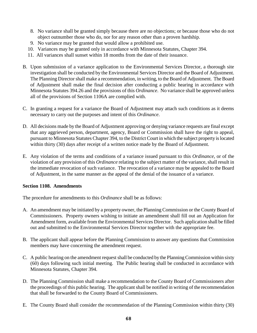- 8. No variance shall be granted simply because there are no objections; or because those who do not object outnumber those who do, nor for any reason other than a proven hardship.
- 9. No variance may be granted that would allow a prohibited use.
- 10. Variances may be granted only in accordance with Minnesota Statutes, Chapter 394.
- 11. All variances shall sunset within 18 months from the date of their issuance.
- B. Upon submission of a variance application to the Environmental Services Director, a thorough site investigation shall be conducted by the Environmental Services Director and the Board of Adjustment. The Planning Director shall make a recommendation, in writing, to the Board of Adjustment. The Board of Adjustment shall make the final decision after conducting a public hearing in accordance with Minnesota Statutes 394.26 and the provisions of this *Ordinance*. No variance shall be approved unless all of the provisions of Section 1106A are complied with.
- C. In granting a request for a variance the Board of Adjustment may attach such conditions as it deems necessary to carry out the purposes and intent of this *Ordinance*.
- D. All decisions made by the Board of Adjustment approving or denying variance requests are final except that any aggrieved person, department, agency, Board or Commission shall have the right to appeal, pursuant to Minnesota Statutes Chapter 394, to the District Court in which the subject property is located within thirty (30) days after receipt of a written notice made by the Board of Adjustment.
- E. Any violation of the terms and conditions of a variance issued pursuant to this *Ordinance*, or of the violation of any provision of this *Ordinance* relating to the subject matter of the variance, shall result in the immediate revocation of such variance. The revocation of a variance may be appealed to the Board of Adjustment, in the same manner as the appeal of the denial of the issuance of a variance.

## **Section 1108. Amendments**

The procedure for amendments to this *Ordinance* shall be as follows:

- A. An amendment may be initiated by a property owner, the Planning Commission or the County Board of Commissioners. Property owners wishing to initiate an amendment shall fill out an Application for Amendment form, available from the Environmental Services Director. Such application shall be filled out and submitted to the Environmental Services Director together with the appropriate fee.
- B. The applicant shall appear before the Planning Commission to answer any questions that Commission members may have concerning the amendment request.
- C. A public hearing on the amendment request shall be conducted by the Planning Commission within sixty (60) days following such initial meeting. The Public hearing shall be conducted in accordance with Minnesota Statutes, Chapter 394.
- D. The Planning Commission shall make a recommendation to the County Board of Commissioners after the proceedings of this public hearing. The applicant shall be notified in writing of the recommendation that shall be forwarded to the County Board of Commissioners.
- E. The County Board shall consider the recommendation of the Planning Commission within thirty (30)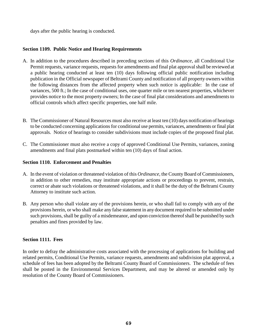days after the public hearing is conducted.

## **Section 1109. Public Notice and Hearing Requirements**

- A. In addition to the procedures described in preceding sections of this *Ordinance*, all Conditional Use Permit requests, variance requests, requests for amendments and final plat approval shall be reviewed at a public hearing conducted at least ten (10) days following official public notification including publication in the Official newspaper of Beltrami County and notification of all property owners within the following distances from the affected property when such notice is applicable: In the case of variances, 500 ft.; In the case of conditional uses, one quarter mile or ten nearest properties, whichever provides notice to the most property owners; In the case of final plat considerations and amendments to official controls which affect specific properties, one half mile.
- B. The Commissioner of Natural Resources must also receive at least ten (10) days notification of hearings to be conducted concerning applications for conditional use permits, variances, amendments or final plat approvals. Notice of hearings to consider subdivisions must include copies of the proposed final plat.
- C. The Commissioner must also receive a copy of approved Conditional Use Permits, variances, zoning amendments and final plats postmarked within ten (10) days of final action.

## **Section 1110. Enforcement and Penalties**

- A. In the event of violation or threatened violation of this *Ordinance*, the County Board of Commissioners, in addition to other remedies, may institute appropriate actions or proceedings to prevent, restrain, correct or abate such violations or threatened violations, and it shall be the duty of the Beltrami County Attorney to institute such action.
- B. Any person who shall violate any of the provisions herein, or who shall fail to comply with any of the provisions herein, or who shall make any false statement in any document required to be submitted under such provisions, shall be guilty of a misdemeanor, and upon conviction thereof shall be punished by such penalties and fines provided by law.

## **Section 1111. Fees**

In order to defray the administrative costs associated with the processing of applications for building and related permits, Conditional Use Permits, variance requests, amendments and subdivision plat approval, a schedule of fees has been adopted by the Beltrami County Board of Commissioners. The schedule of fees shall be posted in the Environmental Services Department, and may be altered or amended only by resolution of the County Board of Commissioners.